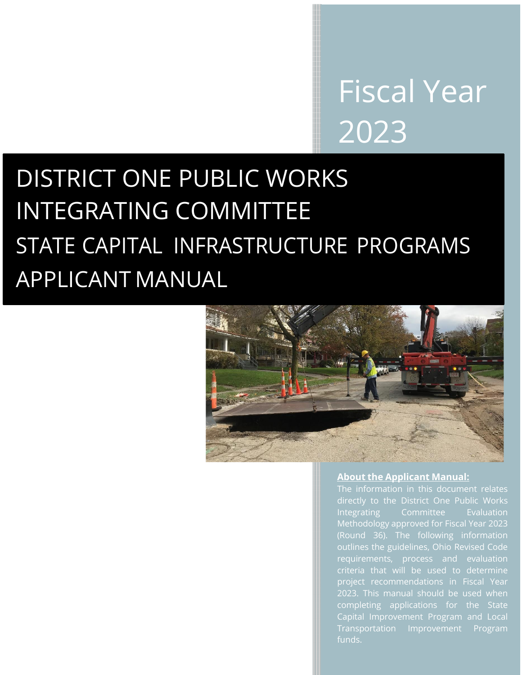# Fiscal Year 2023

# DISTRICT ONE PUBLIC WORKS INTEGRATING COMMITTEE STATE CAPITAL INFRASTRUCTURE PROGRAMS APPLICANT MANUAL



#### **About the Applicant Manual:**

The information in this document relates directly to the District One Public Works Integrating Committee Evaluation Methodology approved for Fiscal Year 2023 outlines the guidelines, Ohio Revised Code project recommendations in Fiscal Year completing applications for the State Capital Improvement Program and Local Transportation Improvement Program funds.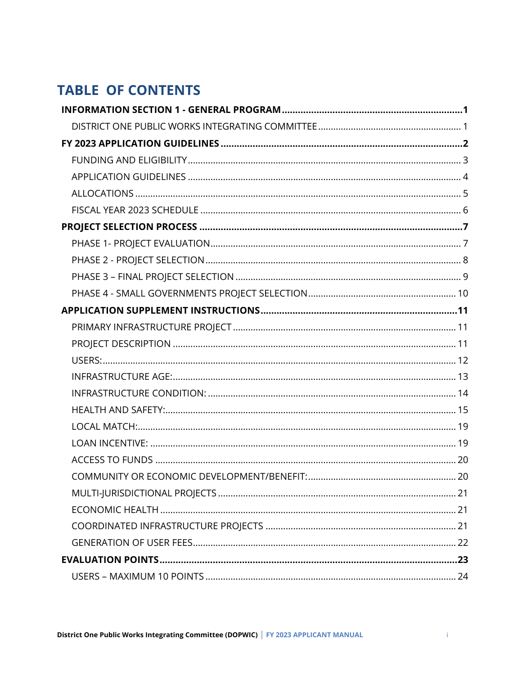# **TABLE OF CONTENTS**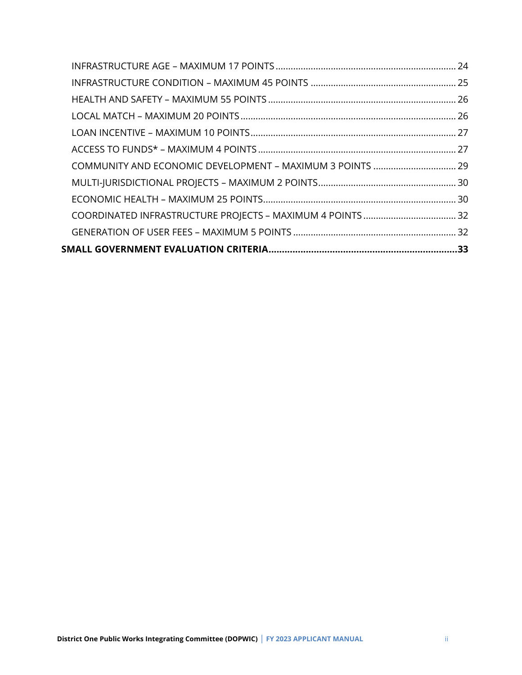| COMMUNITY AND ECONOMIC DEVELOPMENT - MAXIMUM 3 POINTS  29 |  |
|-----------------------------------------------------------|--|
|                                                           |  |
|                                                           |  |
|                                                           |  |
|                                                           |  |
|                                                           |  |
|                                                           |  |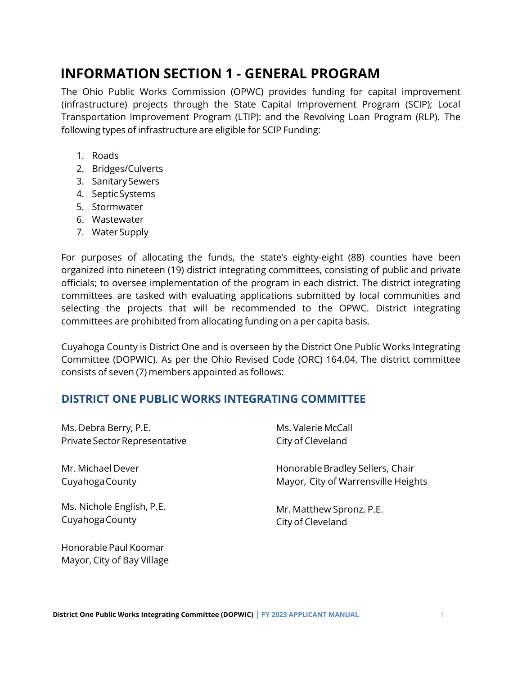# <span id="page-3-0"></span>**INFORMATION SECTION 1 - GENERAL PROGRAM**

The Ohio Public Works Commission (OPWC) provides funding for capital improvement (infrastructure) projects through the State Capital Improvement Program (SCIP); Local Transportation Improvement Program (LTIP): and the Revolving Loan Program (RLP). The following types of infrastructure are eligible for SCIP Funding:

- 1. Roads
- 2. Bridges/Culverts
- 3. SanitarySewers
- 4. SepticSystems
- 5. Stormwater
- 6. Wastewater
- 7. WaterSupply

Mayor, City of Bay Village

For purposes of allocating the funds, the state's eighty-eight (88) counties have been organized into nineteen (19) district integrating committees, consisting of public and private officials; to oversee implementation of the program in each district. The district integrating committees are tasked with evaluating applications submitted by local communities and selecting the projects that will be recommended to the OPWC. District integrating committees are prohibited from allocating funding on a per capita basis.

Cuyahoga County is District One and is overseen by the District One Public Works Integrating Committee (DOPWIC). As per the Ohio Revised Code (ORC) 164.04, The district committee consists of seven (7) members appointed as follows:

## <span id="page-3-1"></span>**DISTRICT ONE PUBLIC WORKS INTEGRATING COMMITTEE**

| Ms. Debra Berry, P.E.         | Ms. Valerie McCall                  |
|-------------------------------|-------------------------------------|
| Private Sector Representative | City of Cleveland                   |
| Mr. Michael Dever             | Honorable Bradley Sellers, Chair    |
| Cuyahoga County               | Mayor, City of Warrensville Heights |
| Ms. Nichole English, P.E.     | Mr. Matthew Spronz, P.E.            |
| Cuyahoga County               | City of Cleveland                   |
| Honorable Paul Koomar         |                                     |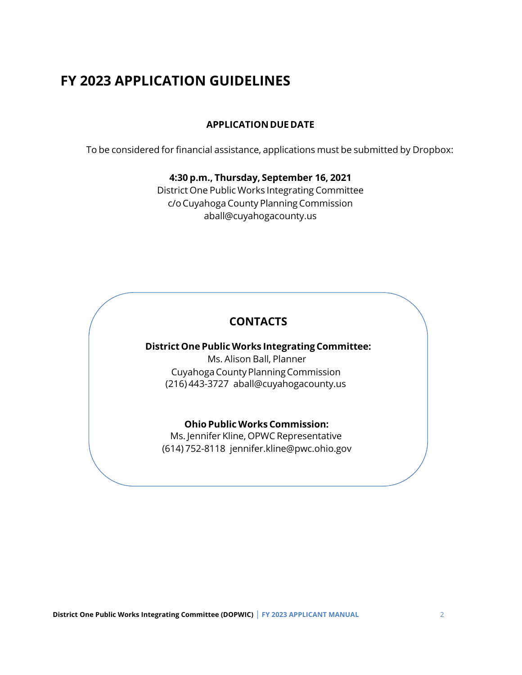# <span id="page-4-0"></span>**FY 2023 APPLICATION GUIDELINES**

#### **APPLICATION DUEDATE**

To be considered for financial assistance, applications must be submitted by Dropbox:

#### **4:30 p.m., Thursday, September 16, 2021**

District One Public Works Integrating Committee c/oCuyahoga County Planning Commission [aball@cuyahogacounty.us](mailto:aball@cuyahogacounty.us)

## **CONTACTS**

#### **District One Public Works Integrating Committee:**

Ms. Alison Ball, Planner CuyahogaCountyPlanningCommission (216) 443-3727 [aball@cuyahogacounty.us](mailto:aball@cuyahogacounty.us)

#### **Ohio Public Works Commission:**

Ms. Jennifer Kline, OPWC Representative (614) 752-8118 [jennifer.kline@pwc.ohio.gov](mailto:jennifer.kline@pwc.ohio.gov)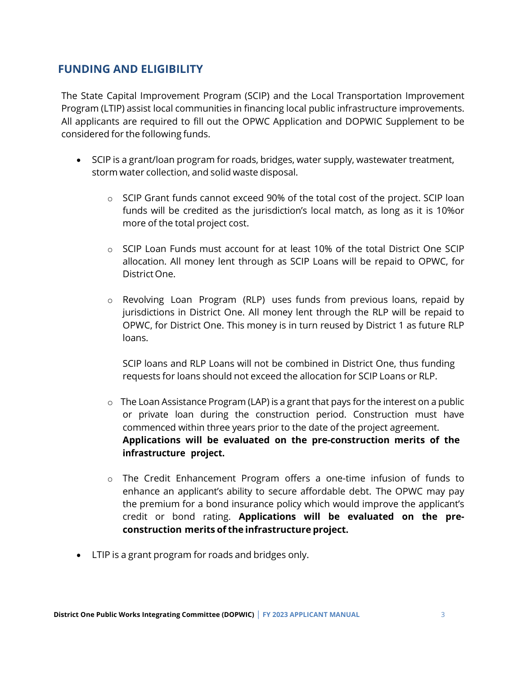## <span id="page-5-0"></span>**FUNDING AND ELIGIBILITY**

The State Capital Improvement Program (SCIP) and the Local Transportation Improvement Program (LTIP) assist local communities in financing local public infrastructure improvements. All applicants are required to fill out the OPWC Application and DOPWIC Supplement to be considered for the following funds.

- SCIP is a grant/loan program for roads, bridges, water supply, wastewater treatment, storm water collection, and solid waste disposal.
	- $\circ$  SCIP Grant funds cannot exceed 90% of the total cost of the project. SCIP loan funds will be credited as the jurisdiction's local match, as long as it is 10%or more of the total project cost.
	- o SCIP Loan Funds must account for at least 10% of the total District One SCIP allocation. All money lent through as SCIP Loans will be repaid to OPWC, for District One.
	- o Revolving Loan Program (RLP) uses funds from previous loans, repaid by jurisdictions in District One. All money lent through the RLP will be repaid to OPWC, for District One. This money is in turn reused by District 1 as future RLP loans.

SCIP loans and RLP Loans will not be combined in District One, thus funding requests for loans should not exceed the allocation for SCIP Loans or RLP.

- **Applications will be evaluated on the pre-construction merits of the infrastructure project.** o The Loan Assistance Program (LAP) is a grant that pays for the interest on a public or private loan during the construction period. Construction must have commenced within three years prior to the date of the project agreement.
- $\circ$  The Credit Enhancement Program offers a one-time infusion of funds to enhance an applicant's ability to secure affordable debt. The OPWC may pay the premium for a bond insurance policy which would improve the applicant's credit or bond rating. **Applications will be evaluated on the preconstruction merits of the infrastructure project.**
- LTIP is a grant program for roads and bridges only.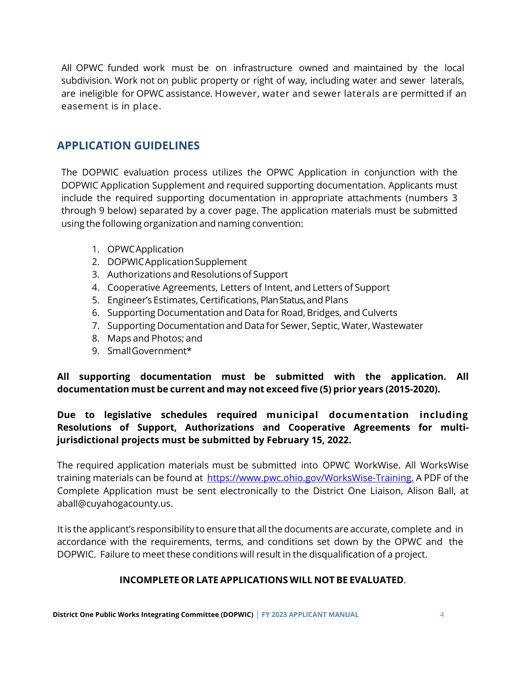All OPWC funded work must be on infrastructure owned and maintained by the local subdivision. Work not on public property or right of way, including water and sewer laterals, are ineligible for OPWC assistance. However, water and sewer laterals are permitted if an easement is in place.

## <span id="page-6-0"></span>**APPLICATION GUIDELINES**

The DOPWIC evaluation process utilizes the OPWC Application in conjunction with the DOPWIC Application Supplement and required supporting documentation. Applicants must include the required supporting documentation in appropriate attachments (numbers 3 through 9 below) separated by a cover page. The application materials must be submitted using the following organization and naming convention:

- 1. OPWCApplication
- 2. DOPWICApplicationSupplement
- 3. Authorizations and Resolutions of Support
- 4. Cooperative Agreements, Letters of Intent, and Letters of Support
- 5. Engineer's Estimates, Certifications, PlanStatus,and Plans
- 6. Supporting Documentation and Data for Road, Bridges, and Culverts
- 7. Supporting Documentationand Data for Sewer, Septic, Water, Wastewater
- 8. Maps and Photos; and
- 9. SmallGovernment\*

**All supporting documentation must be submitted with the application. All documentation must be current and may not exceed five (5) prior years (2015-2020).**

## **Due to legislative schedules required municipal documentation including Resolutions of Support, Authorizations and Cooperative Agreements for multijurisdictional projects must be submitted by February 15, 2022.**

The required application materials must be submitted into OPWC WorkWise. All WorksWise training materials can be found at [https://www.pwc.ohio.gov/WorksWise-Training.](https://www.pwc.ohio.gov/WorksWise-Training) A PDF of the Complete Application must be sent electronically to the District One Liaison, Alison Ball, at aball@cuyahogacounty.us.

It is the applicant's responsibility to ensure that all the documents are accurate, complete and in accordance with the requirements, terms, and conditions set down by the OPWC and the DOPWIC. Failure to meet these conditions will result in the disqualification of a project.

#### **INCOMPLETE OR LATE APPLICATIONS WILL NOT BE EVALUATED**.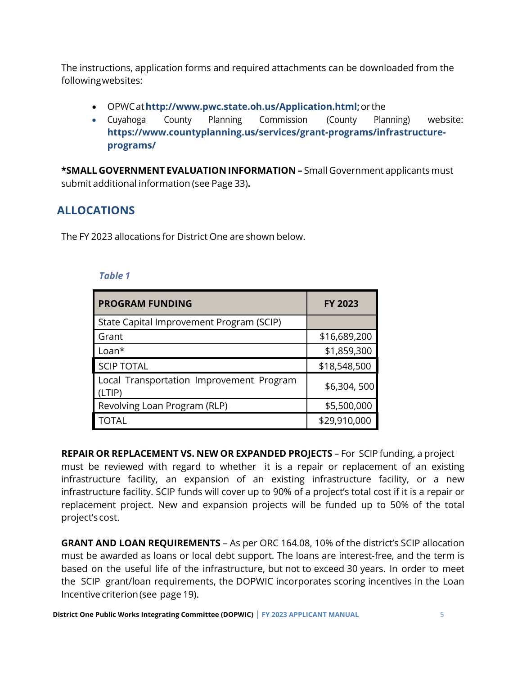The instructions, application forms and required attachments can be downloaded from the followingwebsites:

- OPWCat**[http://www.pwc.state.oh.us/Application.html;](http://www.pwc.state.oh.us/Application.html%3B)**or the
- Cuyahoga County Planning Commission (County Planning) website: **https://www.countyplanning.us/services/grant-programs/infrastructureprograms/**

**\*SMALL GOVERNMENT EVALUATION INFORMATION –** Small Government applicants must submit additional information (see Page 33)**.**

## <span id="page-7-0"></span>**ALLOCATIONS**

The FY 2023 allocations for District One are shown below.

#### *Table 1*

| <b>PROGRAM FUNDING</b>                             | <b>FY 2023</b> |
|----------------------------------------------------|----------------|
| State Capital Improvement Program (SCIP)           |                |
| Grant                                              | \$16,689,200   |
| $Loan*$                                            | \$1,859,300    |
| <b>SCIP TOTAL</b>                                  | \$18,548,500   |
| Local Transportation Improvement Program<br>(LTIP) | \$6,304,500    |
| Revolving Loan Program (RLP)                       | \$5,500,000    |
| <b>TOTAL</b>                                       | \$29,910,000   |

**REPAIR OR REPLACEMENT VS. NEW OR EXPANDED PROJECTS** – For SCIP funding, a project must be reviewed with regard to whether it is a repair or replacement of an existing infrastructure facility, an expansion of an existing infrastructure facility, or a new infrastructure facility. SCIP funds will cover up to 90% of a project's total cost if it is a repair or replacement project. New and expansion projects will be funded up to 50% of the total project's cost.

**GRANT AND LOAN REQUIREMENTS** – As per ORC 164.08, 10% of the district's SCIP allocation must be awarded as loans or local debt support. The loans are interest-free, and the term is based on the useful life of the infrastructure, but not to exceed 30 years. In order to meet the SCIP grant/loan requirements, the DOPWIC incorporates scoring incentives in the Loan Incentive criterion(see page 19).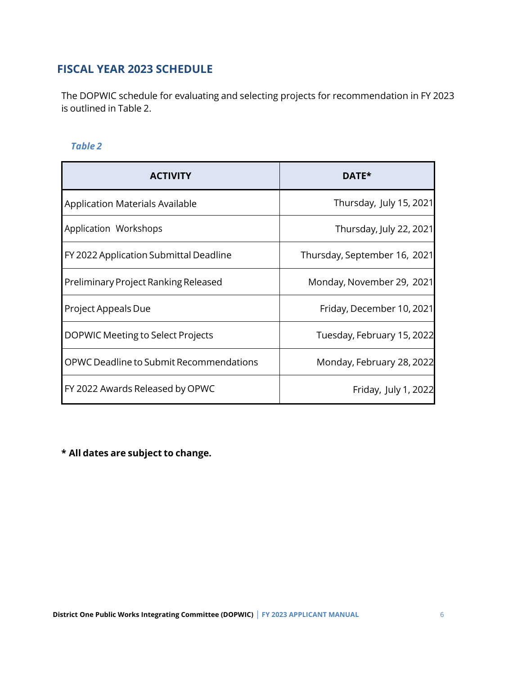## <span id="page-8-0"></span>**FISCAL YEAR 2023 SCHEDULE**

The DOPWIC schedule for evaluating and selecting projects for recommendation in FY 2023 is outlined in Table 2.

#### *Table 2*

| <b>ACTIVITY</b>                         | DATE*                        |
|-----------------------------------------|------------------------------|
| <b>Application Materials Available</b>  | Thursday, July 15, 2021      |
| Application Workshops                   | Thursday, July 22, 2021      |
| FY 2022 Application Submittal Deadline  | Thursday, September 16, 2021 |
| Preliminary Project Ranking Released    | Monday, November 29, 2021    |
| Project Appeals Due                     | Friday, December 10, 2021    |
| DOPWIC Meeting to Select Projects       | Tuesday, February 15, 2022   |
| OPWC Deadline to Submit Recommendations | Monday, February 28, 2022    |
| FY 2022 Awards Released by OPWC         | Friday, July 1, 2022         |

**\* All dates are subject to change.**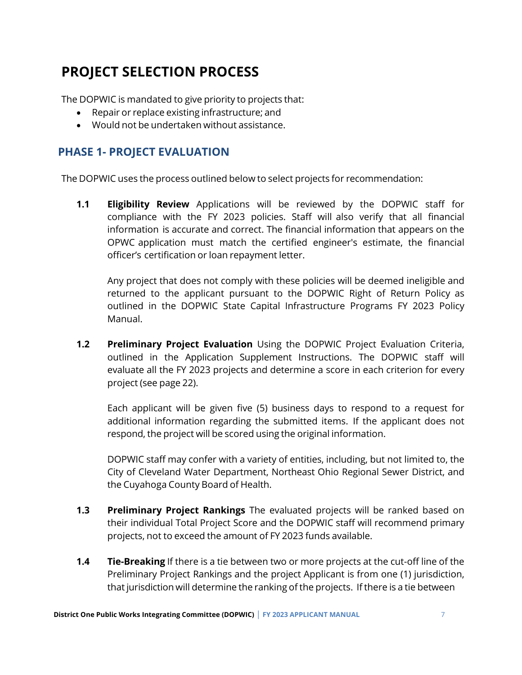# <span id="page-9-0"></span>**PROJECT SELECTION PROCESS**

The DOPWIC is mandated to give priority to projects that:

- Repair or replace existing infrastructure; and
- Would not be undertaken without assistance.

## <span id="page-9-1"></span>**PHASE 1- PROJECT EVALUATION**

The DOPWIC uses the process outlined below to select projects for recommendation:

**1.1 Eligibility Review** Applications will be reviewed by the DOPWIC staff for compliance with the FY 2023 policies. Staff will also verify that all financial information is accurate and correct. The financial information that appears on the OPWC application must match the certified engineer's estimate, the financial officer's certification or loan repayment letter.

Any project that does not comply with these policies will be deemed ineligible and returned to the applicant pursuant to the DOPWIC Right of Return Policy as outlined in the DOPWIC State Capital Infrastructure Programs FY 2023 Policy Manual.

**1.2 Preliminary Project Evaluation** Using the DOPWIC Project Evaluation Criteria, outlined in the Application Supplement Instructions. The DOPWIC staff will evaluate all the FY 2023 projects and determine a score in each criterion for every project (see page 22).

Each applicant will be given five (5) business days to respond to a request for additional information regarding the submitted items. If the applicant does not respond, the project will be scored using the original information.

DOPWIC staff may confer with a variety of entities, including, but not limited to, the City of Cleveland Water Department, Northeast Ohio Regional Sewer District, and the Cuyahoga County Board of Health.

- **1.3 Preliminary Project Rankings** The evaluated projects will be ranked based on their individual Total Project Score and the DOPWIC staff will recommend primary projects, not to exceed the amount of FY 2023 funds available.
- **1.4 Tie-Breaking** If there is a tie between two or more projects at the cut-off line of the Preliminary Project Rankings and the project Applicant is from one (1) jurisdiction, that jurisdiction will determine the ranking of the projects. If there is a tie between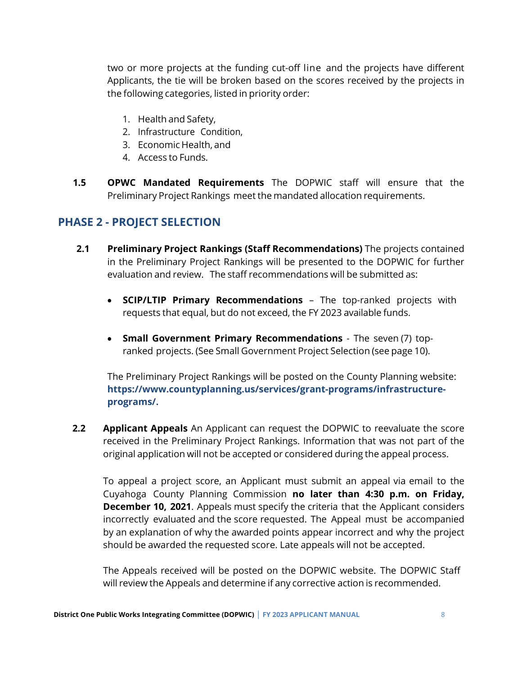two or more projects at the funding cut-off line and the projects have different Applicants, the tie will be broken based on the scores received by the projects in the following categories, listed in priority order:

- 1. Health and Safety,
- 2. Infrastructure Condition,
- 3. Economic Health, and
- 4. Access to Funds.
- **1.5 OPWC Mandated Requirements** The DOPWIC staff will ensure that the Preliminary Project Rankings meet the mandated allocation requirements.

## <span id="page-10-0"></span>**PHASE 2 - PROJECT SELECTION**

- **2.1 Preliminary Project Rankings (Staff Recommendations)** The projects contained in the Preliminary Project Rankings will be presented to the DOPWIC for further evaluation and review. The staff recommendations will be submitted as:
	- **SCIP/LTIP Primary Recommendations** The top-ranked projects with requests that equal, but do not exceed, the FY 2023 available funds.
	- **Small Government Primary Recommendations** The seven (7) topranked projects. (See Small Government Project Selection (see page 10).

The Preliminary Project Rankings will be posted on the County Planning website: **https://www.countyplanning.us/services/grant-programs/infrastructureprograms/.**

**2.2 Applicant Appeals** An Applicant can request the DOPWIC to reevaluate the score received in the Preliminary Project Rankings. Information that was not part of the original application will not be accepted or considered during the appeal process.

To appeal a project score, an Applicant must submit an appeal via email to the Cuyahoga County Planning Commission **no later than 4:30 p.m. on Friday, December 10, 2021**. Appeals must specify the criteria that the Applicant considers incorrectly evaluated and the score requested. The Appeal must be accompanied by an explanation of why the awarded points appear incorrect and why the project should be awarded the requested score. Late appeals will not be accepted.

The Appeals received will be posted on the DOPWIC website. The DOPWIC Staff will review the Appeals and determine if any corrective action is recommended.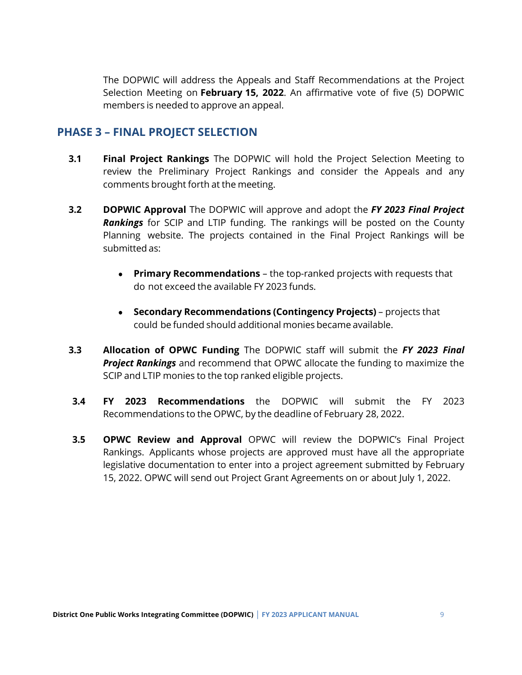The DOPWIC will address the Appeals and Staff Recommendations at the Project Selection Meeting on **February 15, 2022**. An affirmative vote of five (5) DOPWIC members is needed to approve an appeal.

### <span id="page-11-0"></span>**PHASE 3 – FINAL PROJECT SELECTION**

- **3.1 Final Project Rankings** The DOPWIC will hold the Project Selection Meeting to review the Preliminary Project Rankings and consider the Appeals and any comments brought forth at the meeting.
- **3.2 DOPWIC Approval** The DOPWIC will approve and adopt the *FY 2023 Final Project Rankings* for SCIP and LTIP funding. The rankings will be posted on the County Planning website. The projects contained in the Final Project Rankings will be submitted as:
	- **Primary Recommendations** the top-ranked projects with requests that do not exceed the available FY 2023 funds.
	- **Secondary Recommendations (Contingency Projects)** projects that could be funded should additional monies became available.
- **3.3 Allocation of OPWC Funding** The DOPWIC staff will submit the *FY 2023 Final Project Rankings* and recommend that OPWC allocate the funding to maximize the SCIP and LTIP monies to the top ranked eligible projects.
- **3.4 FY 2023 Recommendations** the DOPWIC will submit the FY 2023 Recommendations to the OPWC, by the deadline of February 28, 2022.
- **3.5 OPWC Review and Approval** OPWC will review the DOPWIC's Final Project Rankings. Applicants whose projects are approved must have all the appropriate legislative documentation to enter into a project agreement submitted by February 15, 2022. OPWC will send out Project Grant Agreements on or about July 1, 2022.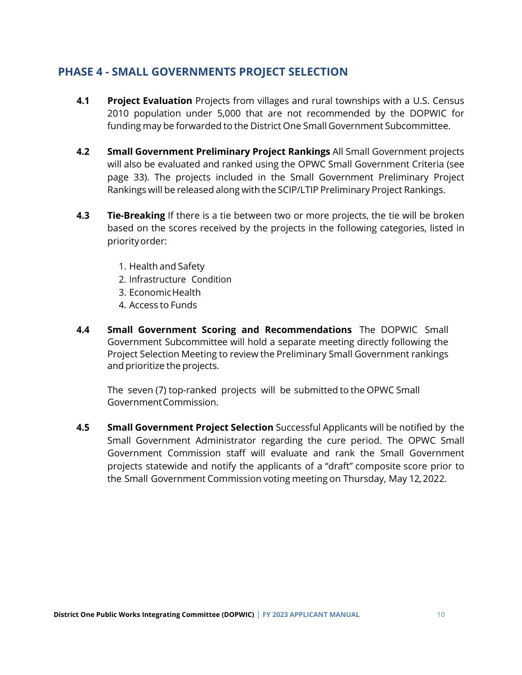## <span id="page-12-0"></span>**PHASE 4 - SMALL GOVERNMENTS PROJECT SELECTION**

- **4.1 Project Evaluation** Projects from villages and rural townships with a U.S. Census 2010 population under 5,000 that are not recommended by the DOPWIC for funding may be forwarded to the District One Small Government Subcommittee.
- **4.2 Small Government Preliminary Project Rankings** All Small Government projects will also be evaluated and ranked using the OPWC Small Government Criteria (see page 33). The projects included in the Small Government Preliminary Project Rankings will be released along with the SCIP/LTIP Preliminary Project Rankings.
- **4.3 Tie-Breaking** If there is a tie between two or more projects, the tie will be broken based on the scores received by the projects in the following categories, listed in priorityorder:
	- 1. Health and Safety
	- 2. Infrastructure Condition
	- 3. EconomicHealth
	- 4. Access to Funds
- **4.4 Small Government Scoring and Recommendations** The DOPWIC Small Government Subcommittee will hold a separate meeting directly following the Project Selection Meeting to review the Preliminary Small Government rankings and prioritize the projects.

The seven (7) top-ranked projects will be submitted to the OPWC Small GovernmentCommission.

**4.5 Small Government Project Selection** Successful Applicants will be notified by the Small Government Administrator regarding the cure period. The OPWC Small Government Commission staff will evaluate and rank the Small Government projects statewide and notify the applicants of a "draft" composite score prior to the Small Government Commission voting meeting on Thursday, May 12, 2022.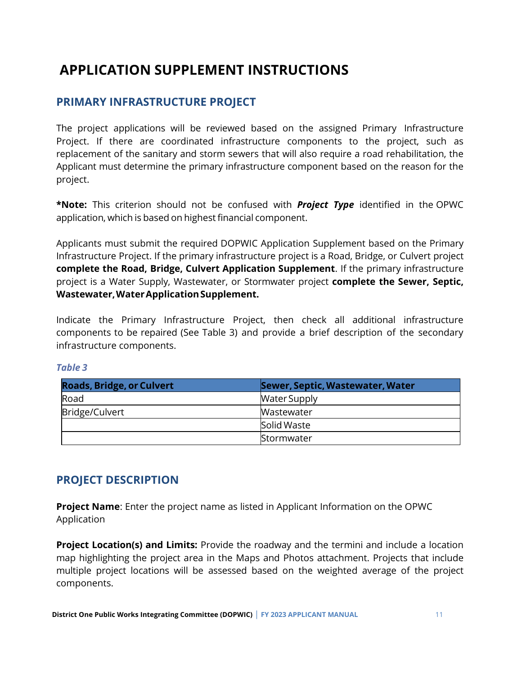# <span id="page-13-0"></span>**APPLICATION SUPPLEMENT INSTRUCTIONS**

## <span id="page-13-1"></span>**PRIMARY INFRASTRUCTURE PROJECT**

The project applications will be reviewed based on the assigned Primary Infrastructure Project. If there are coordinated infrastructure components to the project, such as replacement of the sanitary and storm sewers that will also require a road rehabilitation, the Applicant must determine the primary infrastructure component based on the reason for the project.

**\*Note:** This criterion should not be confused with *Project Type* identified in the OPWC application, which is based on highest financial component.

Applicants must submit the required DOPWIC Application Supplement based on the Primary Infrastructure Project. If the primary infrastructure project is a Road, Bridge, or Culvert project **complete the Road, Bridge, Culvert Application Supplement**. If the primary infrastructure project is a Water Supply, Wastewater, or Stormwater project **complete the Sewer, Septic, Wastewater,WaterApplicationSupplement.**

Indicate the Primary Infrastructure Project, then check all additional infrastructure components to be repaired (See Table 3) and provide a brief description of the secondary infrastructure components.

#### *Table 3*

| <b>Roads, Bridge, or Culvert</b> | Sewer, Septic, Wastewater, Water |
|----------------------------------|----------------------------------|
| Road                             | <b>Water Supply</b>              |
| Bridge/Culvert                   | <b>Wastewater</b>                |
|                                  | <b>Solid Waste</b>               |
|                                  | Stormwater                       |

## <span id="page-13-2"></span>**PROJECT DESCRIPTION**

**Project Name**: Enter the project name as listed in Applicant Information on the OPWC Application

**Project Location(s) and Limits:** Provide the roadway and the termini and include a location map highlighting the project area in the Maps and Photos attachment. Projects that include multiple project locations will be assessed based on the weighted average of the project components.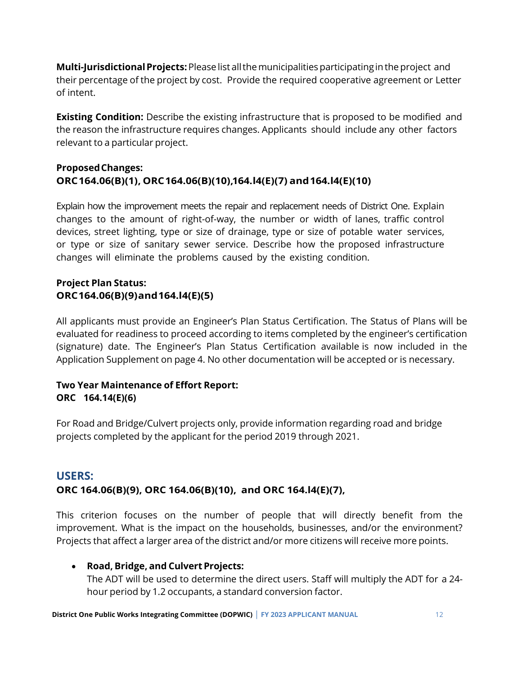**Multi-JurisdictionalProjects:**Pleaselist allthemunicipalitiesparticipatingintheproject and their percentage of the project by cost. Provide the required cooperative agreement or Letter of intent.

**Existing Condition:** Describe the existing infrastructure that is proposed to be modified and the reason the infrastructure requires changes. Applicants should include any other factors relevant to a particular project.

#### **ProposedChanges: ORC164.06(B)(1), ORC164.06(B)(10),164.l4(E)(7) and164.l4(E)(10)**

Explain how the improvement meets the repair and replacement needs of District One. Explain changes to the amount of right-of-way, the number or width of lanes, traffic control devices, street lighting, type or size of drainage, type or size of potable water services, or type or size of sanitary sewer service. Describe how the proposed infrastructure changes will eliminate the problems caused by the existing condition.

## **Project Plan Status: ORC164.06(B)(9)and164.l4(E)(5)**

All applicants must provide an Engineer's Plan Status Certification. The Status of Plans will be evaluated for readiness to proceed according to items completed by the engineer's certification (signature) date. The Engineer's Plan Status Certification available is now included in the Application Supplement on page 4. No other documentation will be accepted or is necessary.

### **Two Year Maintenance of Effort Report: ORC 164.14(E)(6)**

For Road and Bridge/Culvert projects only, provide information regarding road and bridge projects completed by the applicant for the period 2019 through 2021.

## <span id="page-14-0"></span>**USERS: ORC 164.06(B)(9), ORC 164.06(B)(10), and ORC 164.l4(E)(7),**

This criterion focuses on the number of people that will directly benefit from the improvement. What is the impact on the households, businesses, and/or the environment? Projects that affect a larger area of the district and/or more citizens will receive more points.

### • **Road, Bridge, and CulvertProjects:**

The ADT will be used to determine the direct users. Staff will multiply the ADT for a 24 hour period by 1.2 occupants, a standard conversion factor.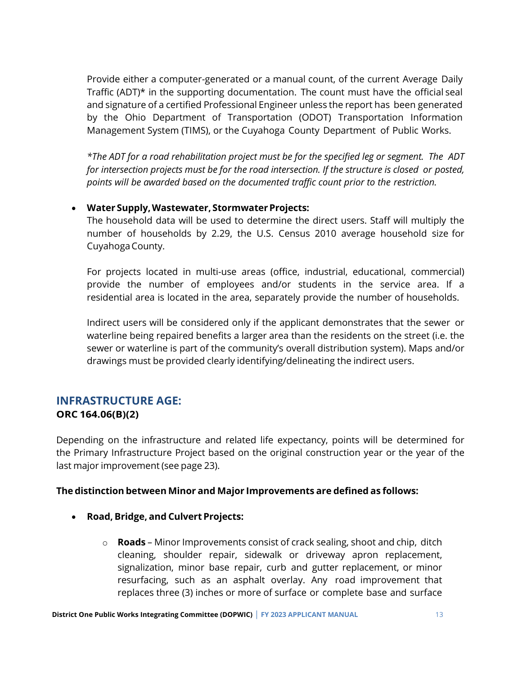Provide either a computer-generated or a manual count, of the current Average Daily Traffic (ADT) $*$  in the supporting documentation. The count must have the official seal and signature of a certified Professional Engineer unless the report has been generated by the Ohio Department of Transportation (ODOT) Transportation Information Management System (TIMS), or the Cuyahoga County Department of Public Works.

*\*The ADT for a road rehabilitation project must be for the specified leg or segment. The ADT for intersection projects must be for the road intersection. If the structure is closed or posted, points will be awarded based on the documented traffic count prior to the restriction.*

#### • **Water Supply,Wastewater, StormwaterProjects:**

The household data will be used to determine the direct users. Staff will multiply the number of households by 2.29, the U.S. Census 2010 average household size for CuyahogaCounty.

For projects located in multi-use areas (office, industrial, educational, commercial) provide the number of employees and/or students in the service area. If a residential area is located in the area, separately provide the number of households.

Indirect users will be considered only if the applicant demonstrates that the sewer or waterline being repaired benefits a larger area than the residents on the street (i.e. the sewer or waterline is part of the community's overall distribution system). Maps and/or drawings must be provided clearly identifying/delineating the indirect users.

### <span id="page-15-0"></span>**INFRASTRUCTURE AGE: ORC 164.06(B)(2)**

Depending on the infrastructure and related life expectancy, points will be determined for the Primary Infrastructure Project based on the original construction year or the year of the last major improvement (see page 23).

#### **The distinction between Minor and Major Improvements are defined as follows:**

- **Road, Bridge, and Culvert Projects:**
	- o **Roads** Minor Improvements consist of crack sealing, shoot and chip, ditch cleaning, shoulder repair, sidewalk or driveway apron replacement, signalization, minor base repair, curb and gutter replacement, or minor resurfacing, such as an asphalt overlay. Any road improvement that replaces three (3) inches or more of surface or complete base and surface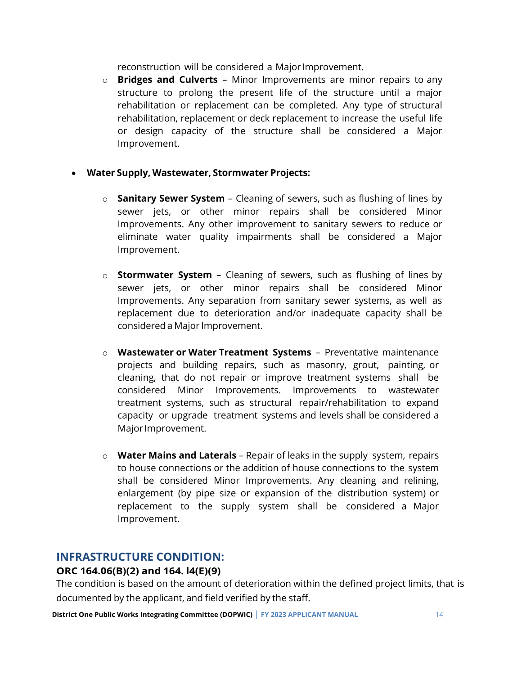reconstruction will be considered a Major Improvement.

o **Bridges and Culverts** – Minor Improvements are minor repairs to any structure to prolong the present life of the structure until a major rehabilitation or replacement can be completed. Any type of structural rehabilitation, replacement or deck replacement to increase the useful life or design capacity of the structure shall be considered a Major Improvement.

#### • **Water Supply, Wastewater, Stormwater Projects:**

- o **Sanitary Sewer System** Cleaning of sewers, such as flushing of lines by sewer jets, or other minor repairs shall be considered Minor Improvements. Any other improvement to sanitary sewers to reduce or eliminate water quality impairments shall be considered a Major Improvement.
- o **Stormwater System** Cleaning of sewers, such as flushing of lines by sewer jets, or other minor repairs shall be considered Minor Improvements. Any separation from sanitary sewer systems, as well as replacement due to deterioration and/or inadequate capacity shall be considered a Major Improvement.
- o **Wastewater or Water Treatment Systems**  Preventative maintenance projects and building repairs, such as masonry, grout, painting, or cleaning, that do not repair or improve treatment systems shall be considered Minor Improvements. Improvements to wastewater treatment systems, such as structural repair/rehabilitation to expand capacity or upgrade treatment systems and levels shall be considered a Major Improvement.
- o **Water Mains and Laterals** Repair of leaks in the supply system, repairs to house connections or the addition of house connections to the system shall be considered Minor Improvements. Any cleaning and relining, enlargement (by pipe size or expansion of the distribution system) or replacement to the supply system shall be considered a Major Improvement.

## <span id="page-16-0"></span>**INFRASTRUCTURE CONDITION:**

#### **ORC 164.06(B)(2) and 164. l4(E)(9)**

The condition is based on the amount of deterioration within the defined project limits, that is documented by the applicant, and field verified by the staff.

**District One Public Works Integrating Committee (DOPWIC)** | **FY 2023 APPLICANT MANUAL** 14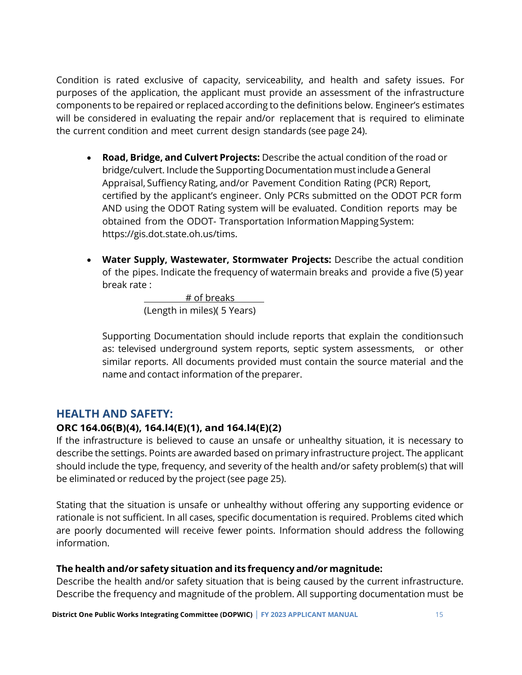Condition is rated exclusive of capacity, serviceability, and health and safety issues. For purposes of the application, the applicant must provide an assessment of the infrastructure components to be repaired or replaced according to the definitions below. Engineer's estimates will be considered in evaluating the repair and/or replacement that is required to eliminate the current condition and meet current design standards (see page 24).

- **Road, Bridge, and Culvert Projects:** Describe the actual condition of the road or bridge/culvert. Include the Supporting Documentation must include a General Appraisal, Suffiency Rating, and/or Pavement Condition Rating (PCR) Report, certified by the applicant's engineer. Only PCRs submitted on the ODOT PCR form AND using the ODOT Rating system will be evaluated. Condition reports may be obtained from the ODOT- Transportation Information Mapping System: https://gis.dot.state.oh.us/tims.
- **Water Supply, Wastewater, Stormwater Projects:** Describe the actual condition of the pipes. Indicate the frequency of watermain breaks and provide a five (5) year break rate :

 # of breaks (Length in miles)( 5 Years)

Supporting Documentation should include reports that explain the conditionsuch as: televised underground system reports, septic system assessments, or other similar reports. All documents provided must contain the source material and the name and contact information of the preparer.

## <span id="page-17-0"></span>**HEALTH AND SAFETY:**

### **ORC 164.06(B)(4), 164.l4(E)(1), and 164.l4(E)(2)**

If the infrastructure is believed to cause an unsafe or unhealthy situation, it is necessary to describe the settings. Points are awarded based on primary infrastructure project. The applicant should include the type, frequency, and severity of the health and/or safety problem(s) that will be eliminated or reduced by the project (see page 25).

Stating that the situation is unsafe or unhealthy without offering any supporting evidence or rationale is not sufficient. In all cases, specific documentation is required. Problems cited which are poorly documented will receive fewer points. Information should address the following information.

#### **The health and/or safety situation and its frequency and/or magnitude:**

Describe the health and/or safety situation that is being caused by the current infrastructure. Describe the frequency and magnitude of the problem. All supporting documentation must be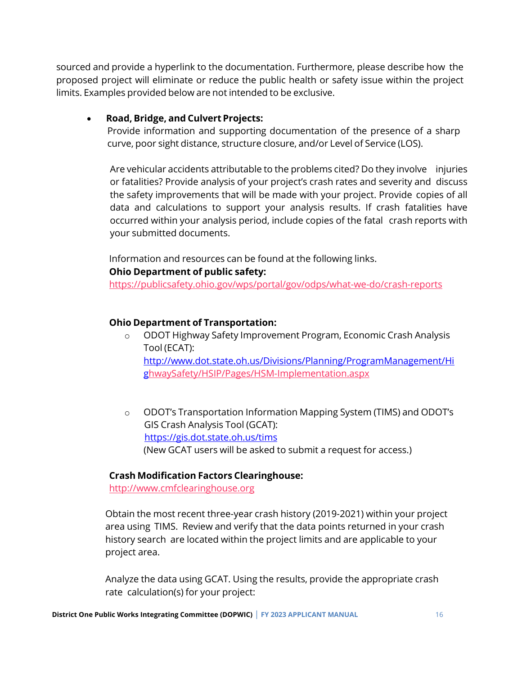sourced and provide a hyperlink to the documentation. Furthermore, please describe how the proposed project will eliminate or reduce the public health or safety issue within the project limits. Examples provided below are not intended to be exclusive.

#### • **Road, Bridge, and CulvertProjects:**

Provide information and supporting documentation of the presence of a sharp curve, poor sight distance, structure closure, and/or Level of Service (LOS).

Are vehicular accidents attributable to the problems cited? Do they involve injuries or fatalities? Provide analysis of your project's crash rates and severity and discuss the safety improvements that will be made with your project. Provide copies of all data and calculations to support your analysis results. If crash fatalities have occurred within your analysis period, include copies of the fatal crash reports with your submitted documents.

Information and resources can be found at the following links.

#### **Ohio Department of public safety:**

<https://publicsafety.ohio.gov/wps/portal/gov/odps/what-we-do/crash-reports>

### **Ohio Department of Transportation:**

- o ODOT Highway Safety Improvement Program, Economic Crash Analysis Tool (ECAT): [http://www.dot.state.oh.us/Divisions/Planning/ProgramManagement/Hi](http://www.dot.state.oh.us/Divisions/Planning/ProgramManagement/Hig) [g](http://www.dot.state.oh.us/Divisions/Planning/ProgramManagement/Hig)[hwaySafety/HSIP/Pages/HSM-Implementation.aspx](http://www.dot.state.oh.us/Divisions/Planning/ProgramManagement/HighwaySafety/HSIP/Pages/HSM-Implementation.aspx)
- o ODOT's Transportation Information Mapping System (TIMS) and ODOT's GIS Crash Analysis Tool (GCAT): <https://gis.dot.state.oh.us/tims> (New GCAT users will be asked to submit a request for access.)

#### **Crash Modification Factors Clearinghouse:**

[http://www.cmfclearinghouse.org](http://www.cmfclearinghouse.org/)

Obtain the most recent three-year crash history (2019-2021) within your project area using TIMS. Review and verify that the data points returned in your crash history search are located within the project limits and are applicable to your project area.

Analyze the data using GCAT. Using the results, provide the appropriate crash rate calculation(s) for your project: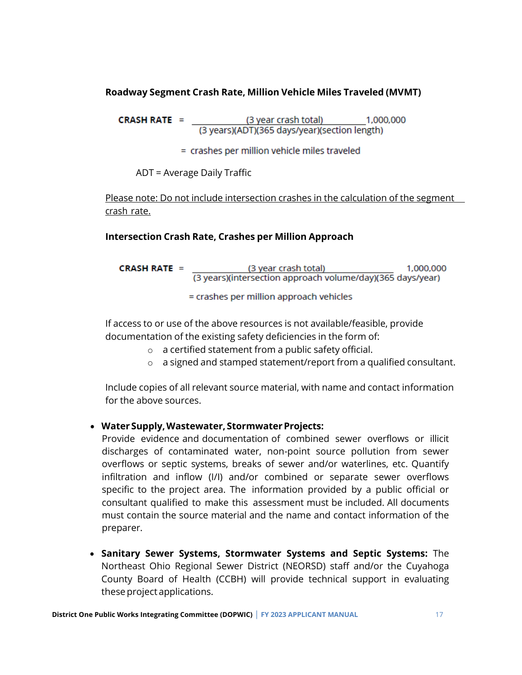#### **Roadway Segment Crash Rate, Million Vehicle Miles Traveled (MVMT)**

**CRASH RATE** =  $\frac{(3 \text{ year crash total})}{(3 \text{ years})(ADT)(365 \text{ days/year})(\text{section length})}$ 

= crashes per million vehicle miles traveled

ADT = Average Daily Traffic

Please note: Do not include intersection crashes in the calculation of the segment crash rate.

#### **Intersection Crash Rate, Crashes per Million Approach**

| CRASH RATE $=$ | (3 year crash total)                                       | 1,000,000 |
|----------------|------------------------------------------------------------|-----------|
|                | (3 years)(intersection approach volume/day)(365 days/year) |           |
|                | $=$ crashes per million approach vehicles                  |           |

If access to or use of the above resources is not available/feasible, provide documentation of the existing safety deficiencies in the form of:

- o a certified statement from a public safety official.
- o a signed and stamped statement/report from a qualified consultant.

Include copies of all relevant source material, with name and contact information for the above sources.

#### • **WaterSupply,Wastewater, StormwaterProjects:**

Provide evidence and documentation of combined sewer overflows or illicit discharges of contaminated water, non-point source pollution from sewer overflows or septic systems, breaks of sewer and/or waterlines, etc. Quantify infiltration and inflow (I/I) and/or combined or separate sewer overflows specific to the project area. The information provided by a public official or consultant qualified to make this assessment must be included. All documents must contain the source material and the name and contact information of the preparer.

• **Sanitary Sewer Systems, Stormwater Systems and Septic Systems:** The Northeast Ohio Regional Sewer District (NEORSD) staff and/or the Cuyahoga County Board of Health (CCBH) will provide technical support in evaluating these project applications.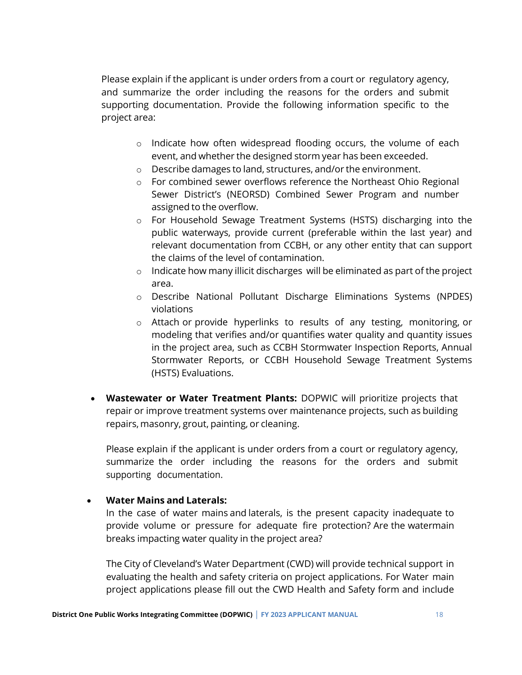Please explain if the applicant is under orders from a court or regulatory agency, and summarize the order including the reasons for the orders and submit supporting documentation. Provide the following information specific to the project area:

- o Indicate how often widespread flooding occurs, the volume of each event, and whether the designed storm year has been exceeded.
- o Describe damages to land, structures, and/or the environment.
- o For combined sewer overflows reference the Northeast Ohio Regional Sewer District's (NEORSD) Combined Sewer Program and number assigned to the overflow.
- o For Household Sewage Treatment Systems (HSTS) discharging into the public waterways, provide current (preferable within the last year) and relevant documentation from CCBH, or any other entity that can support the claims of the level of contamination.
- $\circ$  Indicate how many illicit discharges will be eliminated as part of the project area.
- o Describe National Pollutant Discharge Eliminations Systems (NPDES) violations
- o Attach or provide hyperlinks to results of any testing, monitoring, or modeling that verifies and/or quantifies water quality and quantity issues in the project area, such as CCBH Stormwater Inspection Reports, Annual Stormwater Reports, or CCBH Household Sewage Treatment Systems (HSTS) Evaluations.
- **Wastewater or Water Treatment Plants:** DOPWIC will prioritize projects that repair or improve treatment systems over maintenance projects, such as building repairs, masonry, grout, painting, or cleaning.

Please explain if the applicant is under orders from a court or regulatory agency, summarize the order including the reasons for the orders and submit supporting documentation.

#### • **Water Mains and Laterals:**

In the case of water mains and laterals, is the present capacity inadequate to provide volume or pressure for adequate fire protection? Are the watermain breaks impacting water quality in the project area?

The City of Cleveland's Water Department (CWD) will provide technical support in evaluating the health and safety criteria on project applications. For Water main project applications please fill out the CWD Health and Safety form and include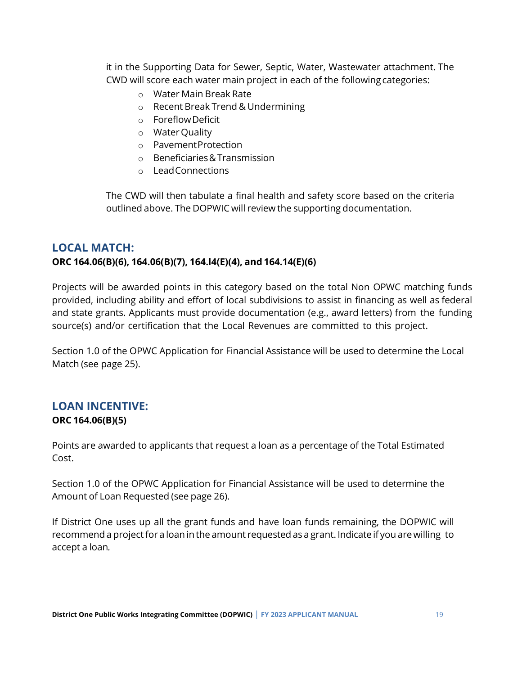it in the Supporting Data for Sewer, Septic, Water, Wastewater attachment. The CWD will score each water main project in each of the following categories:

- o Water Main Break Rate
- o Recent Break Trend & Undermining
- o ForeflowDeficit
- o WaterQuality
- o PavementProtection
- o Beneficiaries&Transmission
- o LeadConnections

The CWD will then tabulate a final health and safety score based on the criteria outlined above. The DOPWIC will review the supporting documentation.

## <span id="page-21-0"></span>**LOCAL MATCH:**

#### **ORC 164.06(B)(6), 164.06(B)(7), 164.l4(E)(4), and 164.14(E)(6)**

Projects will be awarded points in this category based on the total Non OPWC matching funds provided, including ability and effort of local subdivisions to assist in financing as well as federal and state grants. Applicants must provide documentation (e.g., award letters) from the funding source(s) and/or certification that the Local Revenues are committed to this project.

Section 1.0 of the OPWC Application for Financial Assistance will be used to determine the Local Match (see page 25).

## <span id="page-21-1"></span>**LOAN INCENTIVE: ORC 164.06(B)(5)**

Points are awarded to applicants that request a loan as a percentage of the Total Estimated Cost.

Section 1.0 of the OPWC Application for Financial Assistance will be used to determine the Amount of Loan Requested (see page 26).

If District One uses up all the grant funds and have loan funds remaining, the DOPWIC will recommend a project for a loan in the amount requested as a grant. Indicate if you are willing to accept a loan*.*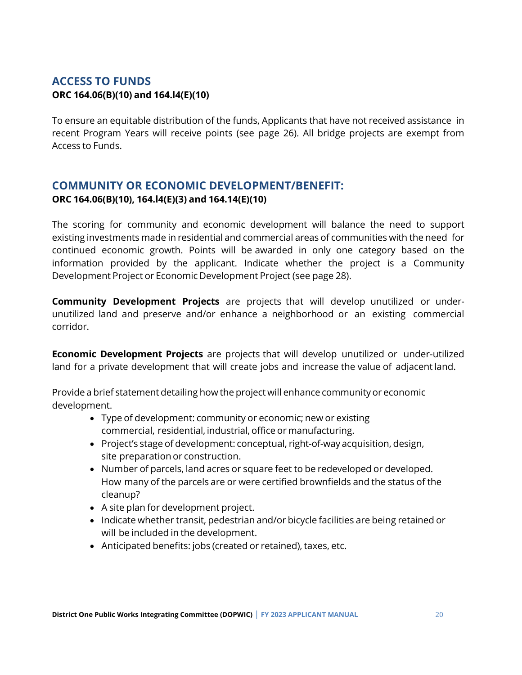## <span id="page-22-0"></span>**ACCESS TO FUNDS ORC 164.06(B)(10) and 164.l4(E)(10)**

To ensure an equitable distribution of the funds, Applicants that have not received assistance in recent Program Years will receive points (see page 26). All bridge projects are exempt from Access to Funds.

## <span id="page-22-1"></span>**COMMUNITY OR ECONOMIC DEVELOPMENT/BENEFIT: ORC 164.06(B)(10), 164.l4(E)(3) and 164.14(E)(10)**

The scoring for community and economic development will balance the need to support existing investments made in residential and commercial areas of communities with the need for continued economic growth. Points will be awarded in only one category based on the information provided by the applicant. Indicate whether the project is a Community Development Project or Economic Development Project (see page 28).

**Community Development Projects** are projects that will develop unutilized or underunutilized land and preserve and/or enhance a neighborhood or an existing commercial corridor.

**Economic Development Projects** are projects that will develop unutilized or under-utilized land for a private development that will create jobs and increase the value of adjacentland.

Provide a brief statement detailing how the project will enhance community or economic development.

- Type of development: community or economic; new or existing commercial, residential, industrial, office or manufacturing.
- Project's stage of development: conceptual, right-of-way acquisition, design, site preparation or construction.
- Number of parcels, land acres or square feet to be redeveloped or developed. How many of the parcels are or were certified brownfields and the status of the cleanup?
- A site plan for development project.
- Indicate whether transit, pedestrian and/or bicycle facilities are being retained or will be included in the development.
- Anticipated benefits: jobs (created or retained), taxes, etc.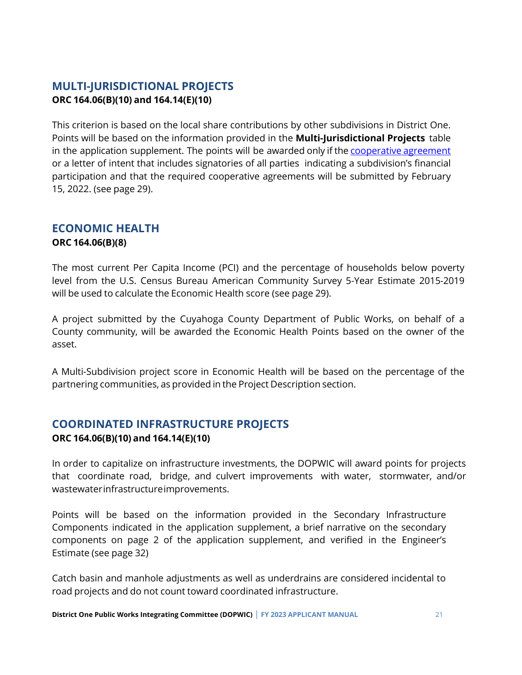## <span id="page-23-0"></span>**MULTI-JURISDICTIONAL PROJECTS ORC 164.06(B)(10) and 164.14(E)(10)**

This criterion is based on the local share contributions by other subdivisions in District One. Points will be based on the information provided in the **Multi-Jurisdictional Projects** table in the application supplement. The points will be awarded only if the [cooperative agreement](https://www.pwc.ohio.gov/Portals/0/Documents/PWC0001Attachments_CooperativeAgreement.doc?ver=2015-02-20-054713-267) or a letter of intent that includes signatories of all parties indicating a subdivision's financial participation and that the required cooperative agreements will be submitted by February 15, 2022. (see page 29).

## <span id="page-23-1"></span>**ECONOMIC HEALTH**

#### **ORC 164.06(B)(8)**

The most current Per Capita Income (PCI) and the percentage of households below poverty level from the U.S. Census Bureau American Community Survey 5-Year Estimate 2015-2019 will be used to calculate the Economic Health score (see page 29).

A project submitted by the Cuyahoga County Department of Public Works, on behalf of a County community, will be awarded the Economic Health Points based on the owner of the asset.

A Multi-Subdivision project score in Economic Health will be based on the percentage of the partnering communities, as provided in the Project Description section.

## <span id="page-23-2"></span>**COORDINATED INFRASTRUCTURE PROJECTS**

#### **ORC 164.06(B)(10) and 164.14(E)(10)**

In order to capitalize on infrastructure investments, the DOPWIC will award points for projects that coordinate road, bridge, and culvert improvements with water, stormwater, and/or wastewaterinfrastructureimprovements.

Points will be based on the information provided in the Secondary Infrastructure Components indicated in the application supplement, a brief narrative on the secondary components on page 2 of the application supplement, and verified in the Engineer's Estimate (see page 32)

Catch basin and manhole adjustments as well as underdrains are considered incidental to road projects and do not count toward coordinated infrastructure.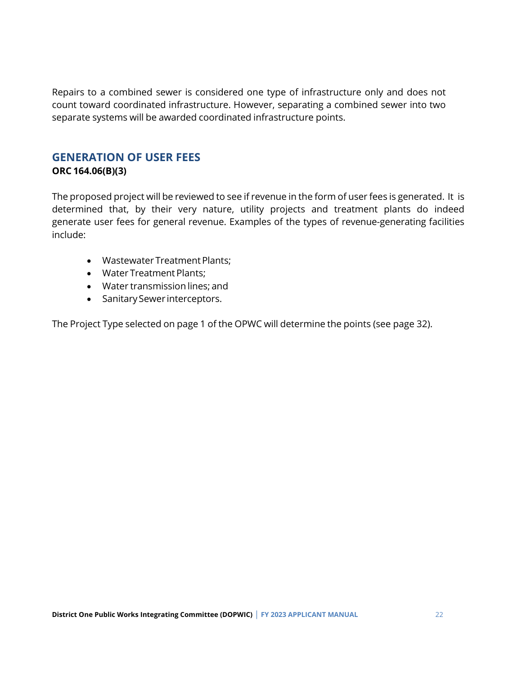Repairs to a combined sewer is considered one type of infrastructure only and does not count toward coordinated infrastructure. However, separating a combined sewer into two separate systems will be awarded coordinated infrastructure points.

## <span id="page-24-0"></span>**GENERATION OF USER FEES**

#### **ORC 164.06(B)(3)**

The proposed project will be reviewed to see if revenue in the form of user fees is generated. It is determined that, by their very nature, utility projects and treatment plants do indeed generate user fees for general revenue. Examples of the types of revenue-generating facilities include:

- Wastewater Treatment Plants;
- Water Treatment Plants;
- Water transmission lines; and
- Sanitary Sewer interceptors.

The Project Type selected on page 1 of the OPWC will determine the points (see page 32).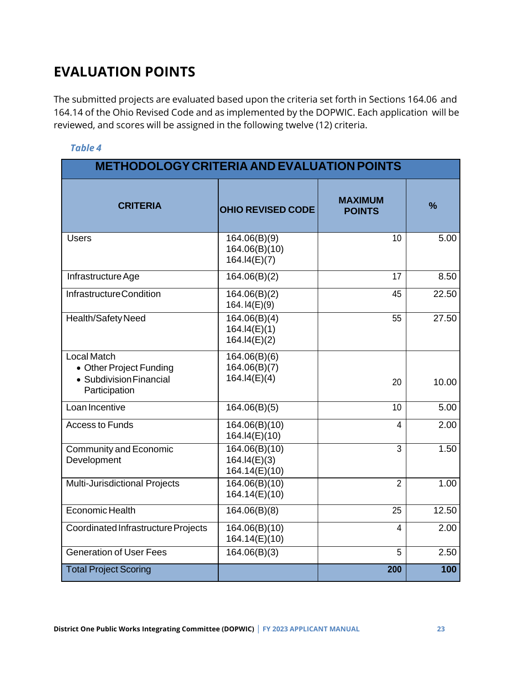# <span id="page-25-0"></span>**EVALUATION POINTS**

The submitted projects are evaluated based upon the criteria set forth in Sections 164.06 and 164.14 of the Ohio Revised Code and as implemented by the DOPWIC. Each application will be reviewed, and scores will be assigned in the following twelve (12) criteria.

| <b>METHODOLOGY CRITERIA AND EVALUATION POINTS</b>                                         |                                                |                                 |               |  |  |  |
|-------------------------------------------------------------------------------------------|------------------------------------------------|---------------------------------|---------------|--|--|--|
| <b>CRITERIA</b>                                                                           | <b>OHIO REVISED CODE</b>                       | <b>MAXIMUM</b><br><b>POINTS</b> | $\frac{9}{6}$ |  |  |  |
| <b>Users</b>                                                                              | 164.06(B)(9)<br>164.06(B)(10)<br>164.I4(E)(7)  | 10                              | 5.00          |  |  |  |
| Infrastructure Age                                                                        | 164.06(B)(2)                                   | 17                              | 8.50          |  |  |  |
| Infrastructure Condition                                                                  | 164.06(B)(2)<br>164. I4(E)(9)                  | 45                              | 22.50         |  |  |  |
| Health/Safety Need                                                                        | 164.06(B)(4)<br>164.14(E)(1)<br>164.14(E)(2)   | 55                              | 27.50         |  |  |  |
| <b>Local Match</b><br>• Other Project Funding<br>• Subdivision Financial<br>Participation | 164.06(B)(6)<br>164.06(B)(7)<br>164.14(E)(4)   | 20                              | 10.00         |  |  |  |
| Loan Incentive                                                                            | 164.06(B)(5)                                   | 10                              | 5.00          |  |  |  |
| <b>Access to Funds</b>                                                                    | 164.06(B)(10)<br>164.I4(E)(10)                 | 4                               | 2.00          |  |  |  |
| <b>Community and Economic</b><br>Development                                              | 164.06(B)(10)<br>164.14(E)(3)<br>164.14(E)(10) | $\overline{3}$                  | 1.50          |  |  |  |
| <b>Multi-Jurisdictional Projects</b>                                                      | 164.06(B)(10)<br>164.14(E)(10)                 | $\overline{2}$                  | 1.00          |  |  |  |
| Economic Health                                                                           | 164.06(B)(8)                                   | 25                              | 12.50         |  |  |  |
| Coordinated Infrastructure Projects                                                       | 164.06(B)(10)<br>164.14(E)(10)                 | $\overline{4}$                  | 2.00          |  |  |  |
| <b>Generation of User Fees</b>                                                            | 164.06(B)(3)                                   | 5                               | 2.50          |  |  |  |
| <b>Total Project Scoring</b>                                                              |                                                | 200                             | 100           |  |  |  |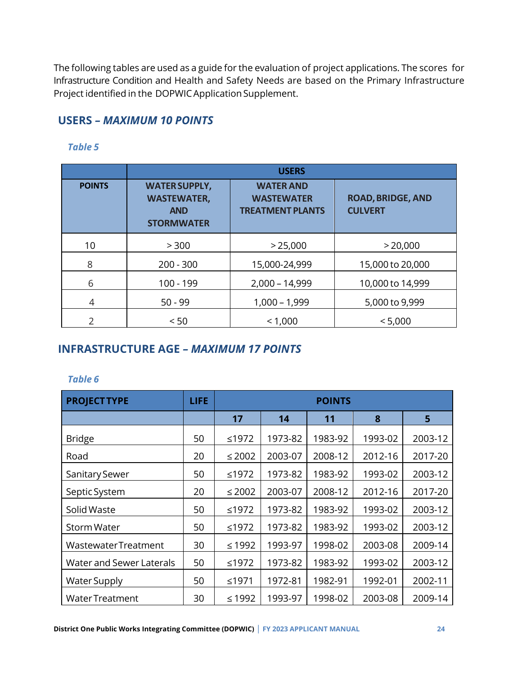The following tables are used as a guide for the evaluation of project applications. The scores for Infrastructure Condition and Health and Safety Needs are based on the Primary Infrastructure Project identified in the DOPWIC Application Supplement.

#### <span id="page-26-0"></span>**USERS** *– MAXIMUM 10 POINTS*

|               |                                                                               | <b>USERS</b>                                                     |                                            |
|---------------|-------------------------------------------------------------------------------|------------------------------------------------------------------|--------------------------------------------|
| <b>POINTS</b> | <b>WATER SUPPLY,</b><br><b>WASTEWATER,</b><br><b>AND</b><br><b>STORMWATER</b> | <b>WATER AND</b><br><b>WASTEWATER</b><br><b>TREATMENT PLANTS</b> | <b>ROAD, BRIDGE, AND</b><br><b>CULVERT</b> |
| 10            | > 300                                                                         | > 25,000                                                         | > 20,000                                   |
| 8             | $200 - 300$                                                                   | 15,000-24,999                                                    | 15,000 to 20,000                           |
| 6             | 100 - 199                                                                     | $2,000 - 14,999$                                                 | 10,000 to 14,999                           |
| 4             | $50 - 99$                                                                     | $1,000 - 1,999$                                                  | 5,000 to 9,999                             |
|               | < 50                                                                          | < 1,000                                                          | < 5,000                                    |

#### *Table 5*

#### <span id="page-26-1"></span>**INFRASTRUCTURE AGE** *– MAXIMUM 17 POINTS*

| <b>PROJECT TYPE</b>        | <b>LIFE</b> |             |         | <b>POINTS</b> |         |         |
|----------------------------|-------------|-------------|---------|---------------|---------|---------|
|                            |             | 17          | 14      | 11            | 8       | 5       |
| <b>Bridge</b>              | 50          | ≤1972       | 1973-82 | 1983-92       | 1993-02 | 2003-12 |
| Road                       | 20          | $\leq$ 2002 | 2003-07 | 2008-12       | 2012-16 | 2017-20 |
| Sanitary Sewer             | 50          | ≤1972       | 1973-82 | 1983-92       | 1993-02 | 2003-12 |
| Septic System              | 20          | $\leq 2002$ | 2003-07 | 2008-12       | 2012-16 | 2017-20 |
| Solid Waste                | 50          | ≤1972       | 1973-82 | 1983-92       | 1993-02 | 2003-12 |
| Storm Water                | 50          | ≤1972       | 1973-82 | 1983-92       | 1993-02 | 2003-12 |
| <b>WastewaterTreatment</b> | 30          | $≤ 1992$    | 1993-97 | 1998-02       | 2003-08 | 2009-14 |
| Water and Sewer Laterals   | 50          | ≤1972       | 1973-82 | 1983-92       | 1993-02 | 2003-12 |
| <b>Water Supply</b>        | 50          | ≤1971       | 1972-81 | 1982-91       | 1992-01 | 2002-11 |
| <b>Water Treatment</b>     | 30          | ≤1992       | 1993-97 | 1998-02       | 2003-08 | 2009-14 |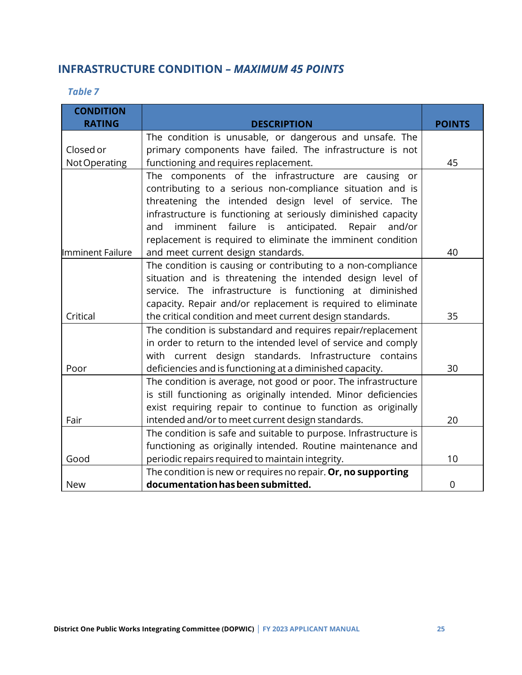## <span id="page-27-0"></span>**INFRASTRUCTURE CONDITION** *– MAXIMUM 45 POINTS*

*Table 7*

| <b>CONDITION</b> |                                                                                                                                |               |
|------------------|--------------------------------------------------------------------------------------------------------------------------------|---------------|
| <b>RATING</b>    | <b>DESCRIPTION</b>                                                                                                             | <b>POINTS</b> |
|                  | The condition is unusable, or dangerous and unsafe. The                                                                        |               |
| Closed or        | primary components have failed. The infrastructure is not                                                                      |               |
| Not Operating    | functioning and requires replacement.                                                                                          | 45            |
|                  | The components of the infrastructure are causing or                                                                            |               |
|                  | contributing to a serious non-compliance situation and is                                                                      |               |
|                  | threatening the intended design level of service. The                                                                          |               |
|                  | infrastructure is functioning at seriously diminished capacity                                                                 |               |
|                  | imminent failure is<br>anticipated.<br>Repair<br>and/or<br>and                                                                 |               |
|                  | replacement is required to eliminate the imminent condition                                                                    |               |
| Imminent Failure | and meet current design standards.                                                                                             | 40            |
|                  | The condition is causing or contributing to a non-compliance                                                                   |               |
|                  | situation and is threatening the intended design level of                                                                      |               |
|                  | service. The infrastructure is functioning at diminished                                                                       |               |
| Critical         | capacity. Repair and/or replacement is required to eliminate                                                                   | 35            |
|                  | the critical condition and meet current design standards.                                                                      |               |
|                  | The condition is substandard and requires repair/replacement<br>in order to return to the intended level of service and comply |               |
|                  | with current design standards. Infrastructure contains                                                                         |               |
| Poor             |                                                                                                                                | 30            |
|                  | deficiencies and is functioning at a diminished capacity.<br>The condition is average, not good or poor. The infrastructure    |               |
|                  | is still functioning as originally intended. Minor deficiencies                                                                |               |
|                  | exist requiring repair to continue to function as originally                                                                   |               |
| Fair             | intended and/or to meet current design standards.                                                                              | 20            |
|                  | The condition is safe and suitable to purpose. Infrastructure is                                                               |               |
|                  | functioning as originally intended. Routine maintenance and                                                                    |               |
| Good             | periodic repairs required to maintain integrity.                                                                               | 10            |
|                  | The condition is new or requires no repair. Or, no supporting                                                                  |               |
| <b>New</b>       | documentation has been submitted.                                                                                              | 0             |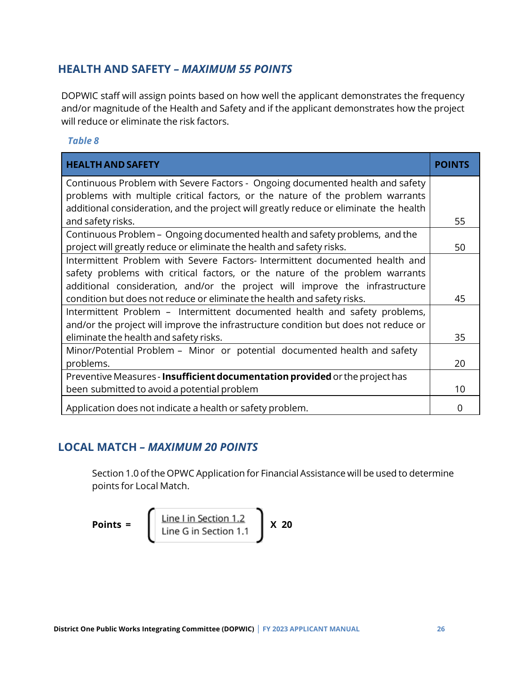## <span id="page-28-0"></span>**HEALTH AND SAFETY** *– MAXIMUM 55 POINTS*

DOPWIC staff will assign points based on how well the applicant demonstrates the frequency and/or magnitude of the Health and Safety and if the applicant demonstrates how the project will reduce or eliminate the risk factors.

#### *Table 8*

| <b>HEALTH AND SAFETY</b>                                                              | POINTS |
|---------------------------------------------------------------------------------------|--------|
| Continuous Problem with Severe Factors - Ongoing documented health and safety         |        |
| problems with multiple critical factors, or the nature of the problem warrants        |        |
| additional consideration, and the project will greatly reduce or eliminate the health |        |
| and safety risks.                                                                     | 55     |
| Continuous Problem - Ongoing documented health and safety problems, and the           |        |
| project will greatly reduce or eliminate the health and safety risks.                 | 50     |
| Intermittent Problem with Severe Factors-Intermittent documented health and           |        |
| safety problems with critical factors, or the nature of the problem warrants          |        |
| additional consideration, and/or the project will improve the infrastructure          |        |
| condition but does not reduce or eliminate the health and safety risks.               | 45     |
| Intermittent Problem - Intermittent documented health and safety problems,            |        |
| and/or the project will improve the infrastructure condition but does not reduce or   |        |
| eliminate the health and safety risks.                                                | 35     |
| Minor/Potential Problem - Minor or potential documented health and safety             |        |
| problems.                                                                             | 20     |
| Preventive Measures - Insufficient documentation provided or the project has          |        |
| been submitted to avoid a potential problem                                           | 10     |
| Application does not indicate a health or safety problem.                             | O      |

## <span id="page-28-1"></span>**LOCAL MATCH** *– MAXIMUM 20 POINTS*

Section 1.0 of the OPWC Application for Financial Assistance will be used to determine points for Local Match.

$$
Points = \left( \frac{\text{Line} \text{ Lin Section 1.2}}{\text{Line} \text{G in Section 1.1}} \right) \times 20
$$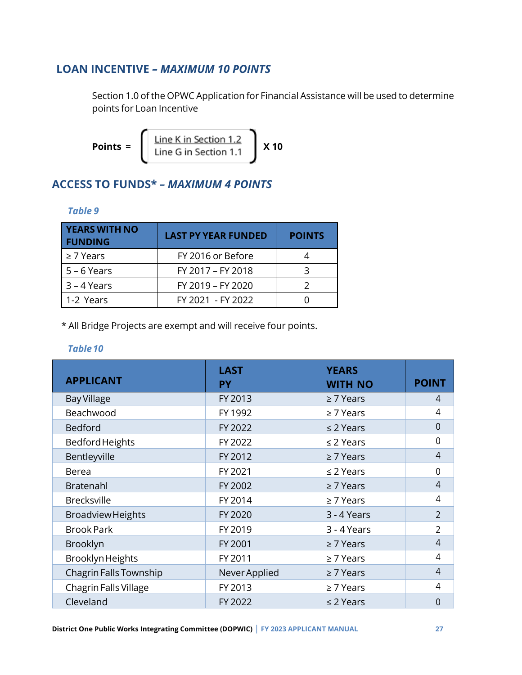## <span id="page-29-0"></span>**LOAN INCENTIVE** *– MAXIMUM 10 POINTS*

Section 1.0 of the OPWC Application for Financial Assistance will be used to determine points for Loan Incentive

$$
Points = \left( \frac{\text{Line K in Section 1.2}}{\text{Line G in Section 1.1}} \right) \times 10
$$

## <span id="page-29-1"></span>**ACCESS TO FUNDS\*** *– MAXIMUM 4 POINTS*

#### *Table 9*

| <b>YEARS WITH NO</b><br><b>FUNDING</b> | <b>LAST PY YEAR FUNDED</b> | <b>POINTS</b> |
|----------------------------------------|----------------------------|---------------|
| $\geq$ 7 Years                         | FY 2016 or Before          |               |
| $5 - 6$ Years                          | FY 2017 - FY 2018          |               |
| $3 - 4$ Years                          | FY 2019 - FY 2020          |               |
| 1-2 Years                              | FY 2021 - FY 2022          |               |

\* All Bridge Projects are exempt and will receive four points.

| <b>APPLICANT</b>         | <b>LAST</b><br><b>PY</b> | <b>YEARS</b><br><b>WITH NO</b> | <b>POINT</b>   |
|--------------------------|--------------------------|--------------------------------|----------------|
| <b>Bay Village</b>       | FY 2013                  | $\geq$ 7 Years                 | 4              |
| Beachwood                | FY 1992                  | $\geq$ 7 Years                 | 4              |
| <b>Bedford</b>           | FY 2022                  | $\leq$ 2 Years                 | 0              |
| Bedford Heights          | FY 2022                  | $\leq$ 2 Years                 | 0              |
| Bentleyville             | FY 2012                  | $\geq$ 7 Years                 | 4              |
| <b>Berea</b>             | FY 2021                  | $\leq$ 2 Years                 | 0              |
| Bratenahl                | FY 2002                  | $\geq$ 7 Years                 | 4              |
| <b>Brecksville</b>       | FY 2014                  | $\geq$ 7 Years                 | 4              |
| <b>Broadview Heights</b> | FY 2020                  | 3 - 4 Years                    | $\overline{2}$ |
| <b>Brook Park</b>        | FY 2019                  | 3 - 4 Years                    | $\overline{2}$ |
| Brooklyn                 | FY 2001                  | $\geq$ 7 Years                 | $\overline{4}$ |
| Brooklyn Heights         | FY 2011                  | $\geq$ 7 Years                 | 4              |
| Chagrin Falls Township   | Never Applied            | $\geq$ 7 Years                 | 4              |
| Chagrin Falls Village    | FY 2013                  | $\geq$ 7 Years                 | 4              |
| Cleveland                | FY 2022                  | $\leq$ 2 Years                 | 0              |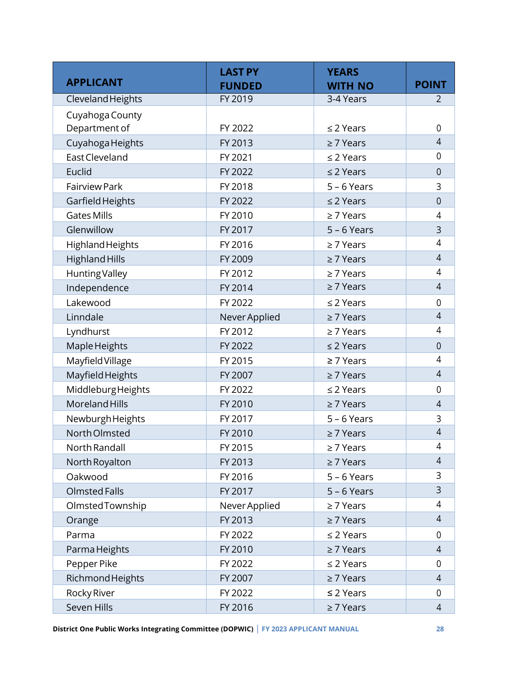|                       | <b>LAST PY</b>                  | <b>YEARS</b>   |                |
|-----------------------|---------------------------------|----------------|----------------|
| <b>APPLICANT</b>      | <b>FUNDED</b><br><b>WITH NO</b> |                | <b>POINT</b>   |
| Cleveland Heights     | FY 2019                         | 3-4 Years      | 2              |
| Cuyahoga County       |                                 |                |                |
| Department of         | FY 2022                         | $\leq$ 2 Years | $\overline{0}$ |
| Cuyahoga Heights      | FY 2013                         | $\geq$ 7 Years | $\overline{4}$ |
| East Cleveland        | FY 2021                         | $\leq$ 2 Years | 0              |
| Euclid                | FY 2022                         | $\leq$ 2 Years | $\mathbf 0$    |
| <b>Fairview Park</b>  | FY 2018                         | $5 - 6$ Years  | 3              |
| Garfield Heights      | FY 2022                         | $\leq$ 2 Years | $\overline{0}$ |
| <b>Gates Mills</b>    | FY 2010                         | $\geq$ 7 Years | 4              |
| Glenwillow            | FY 2017                         | $5 - 6$ Years  | 3              |
| Highland Heights      | FY 2016                         | $\geq$ 7 Years | 4              |
| <b>Highland Hills</b> | FY 2009                         | $\geq$ 7 Years | $\overline{4}$ |
| <b>Hunting Valley</b> | FY 2012                         | $\geq$ 7 Years | 4              |
| Independence          | FY 2014                         | $\geq$ 7 Years | $\overline{4}$ |
| Lakewood              | FY 2022                         | $\leq$ 2 Years | $\mathbf 0$    |
| Linndale              | Never Applied                   | $\geq$ 7 Years | $\overline{4}$ |
| Lyndhurst             | FY 2012                         | $\geq$ 7 Years | 4              |
| Maple Heights         | FY 2022                         | $\leq$ 2 Years | $\overline{0}$ |
| Mayfield Village      | FY 2015                         | $\geq 7$ Years | 4              |
| Mayfield Heights      | FY 2007                         | $\geq$ 7 Years | $\overline{4}$ |
| MiddleburgHeights     | FY 2022                         | $\leq$ 2 Years | $\mathbf 0$    |
| Moreland Hills        | FY 2010                         | $\geq$ 7 Years | $\overline{4}$ |
| NewburghHeights       | FY 2017                         | $5 - 6$ Years  | 3              |
| North Olmsted         | FY 2010                         | $\geq$ 7 Years | 4              |
| North Randall         | FY 2015                         | $\geq 7$ Years | 4              |
| North Royalton        | FY 2013                         | $\geq 7$ Years | 4              |
| Oakwood               | FY 2016                         | $5 - 6$ Years  | 3              |
| <b>Olmsted Falls</b>  | FY 2017                         | $5 - 6$ Years  | 3              |
| OlmstedTownship       | Never Applied                   | $\geq 7$ Years | 4              |
| Orange                | FY 2013                         | $\geq$ 7 Years | $\overline{4}$ |
| Parma                 | FY 2022                         | $\leq$ 2 Years |                |
| Parma Heights         | FY 2010                         | $\geq 7$ Years | 4              |
| Pepper Pike           | FY 2022                         | $\leq$ 2 Years | 0              |
| Richmond Heights      | FY 2007                         | $\geq 7$ Years | $\overline{4}$ |
| Rocky River           | FY 2022                         | $\leq$ 2 Years | 0              |
| Seven Hills           | FY 2016                         | $\geq$ 7 Years | $\overline{4}$ |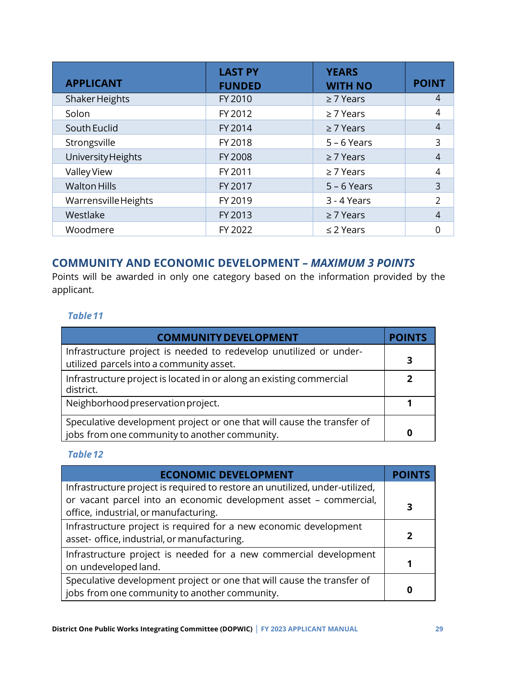| <b>APPLICANT</b>     | <b>LAST PY</b><br><b>FUNDED</b> | <b>YEARS</b><br><b>WITH NO</b> | <b>POINT</b>   |
|----------------------|---------------------------------|--------------------------------|----------------|
| Shaker Heights       | FY 2010                         | $\geq$ 7 Years                 | 4              |
| Solon                | FY 2012                         | $\geq$ 7 Years                 | 4              |
| South Euclid         | FY 2014                         | $\geq$ 7 Years                 | 4              |
| Strongsville         | FY 2018                         | $5 - 6$ Years                  | 3              |
| University Heights   | FY 2008                         | $\geq$ 7 Years                 | 4              |
| Valley View          | FY 2011                         | $\geq$ 7 Years                 | 4              |
| <b>Walton Hills</b>  | FY 2017                         | $5 - 6$ Years                  | 3              |
| Warrensville Heights | FY 2019                         | 3 - 4 Years                    | $\overline{2}$ |
| Westlake             | FY 2013                         | $\geq$ 7 Years                 | 4              |
| Woodmere             | FY 2022                         | $\leq$ 2 Years                 | ი              |

## <span id="page-31-0"></span>**COMMUNITY AND ECONOMIC DEVELOPMENT** *– MAXIMUM 3 POINTS*

Points will be awarded in only one category based on the information provided by the applicant.

### *Table11*

| <b>COMMUNITY DEVELOPMENT</b>                                                                                            | <b>POINTS</b> |
|-------------------------------------------------------------------------------------------------------------------------|---------------|
| Infrastructure project is needed to redevelop unutilized or under-<br>utilized parcels into a community asset.          | 3             |
| Infrastructure project is located in or along an existing commercial<br>district.                                       |               |
| Neighborhood preservation project.                                                                                      |               |
| Speculative development project or one that will cause the transfer of<br>jobs from one community to another community. | o             |

| <b>ECONOMIC DEVELOPMENT</b>                                                  |  |
|------------------------------------------------------------------------------|--|
| Infrastructure project is required to restore an unutilized, under-utilized, |  |
| or vacant parcel into an economic development asset - commercial,            |  |
| office, industrial, or manufacturing.                                        |  |
| Infrastructure project is required for a new economic development            |  |
| asset- office, industrial, or manufacturing.                                 |  |
| Infrastructure project is needed for a new commercial development            |  |
| on undeveloped land.                                                         |  |
| Speculative development project or one that will cause the transfer of       |  |
| jobs from one community to another community.                                |  |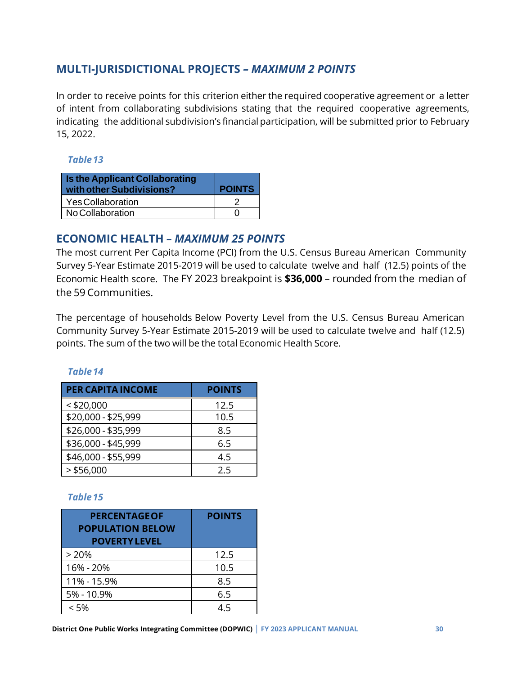## <span id="page-32-0"></span>**MULTI-JURISDICTIONAL PROJECTS** *– MAXIMUM 2 POINTS*

In order to receive points for this criterion either the required cooperative agreement or a letter of intent from collaborating subdivisions stating that the required cooperative agreements, indicating the additional subdivision's financial participation, will be submitted prior to February 15, 2022.

#### *Table13*

| <b>Is the Applicant Collaborating</b><br>with other Subdivisions? | <b>POINTS</b> |
|-------------------------------------------------------------------|---------------|
| Yes Collaboration                                                 |               |
| No Collaboration                                                  |               |

## <span id="page-32-1"></span>**ECONOMIC HEALTH** *– MAXIMUM 25 POINTS*

The most current Per Capita Income (PCI) from the U.S. Census Bureau American Community Survey 5-Year Estimate 2015-2019 will be used to calculate twelve and half (12.5) points of the Economic Health score. The FY 2023 breakpoint is **\$36,000** – rounded from the median of the 59 Communities.

The percentage of households Below Poverty Level from the U.S. Census Bureau American Community Survey 5-Year Estimate 2015-2019 will be used to calculate twelve and half (12.5) points. The sum of the two will be the total Economic Health Score.

| <b>PER CAPITA INCOME</b> | <b>POINTS</b> |
|--------------------------|---------------|
| $<$ \$20,000             | 12.5          |
| \$20,000 - \$25,999      | 10.5          |
| \$26,000 - \$35,999      | 8.5           |
| \$36,000 - \$45,999      | 6.5           |
| \$46,000 - \$55,999      | 4.5           |
| $>$ \$56,000             | つち            |

#### *Table14*

| <b>PERCENTAGE OF</b><br><b>POPULATION BELOW</b><br><b>POVERTY LEVEL</b> | <b>POINTS</b> |
|-------------------------------------------------------------------------|---------------|
| >20%                                                                    | 12.5          |
| 16% - 20%                                                               | 10.5          |
| 11% - 15.9%                                                             | 8.5           |
| 5% - 10.9%                                                              | 6.5           |
| < 5%                                                                    | 4.5           |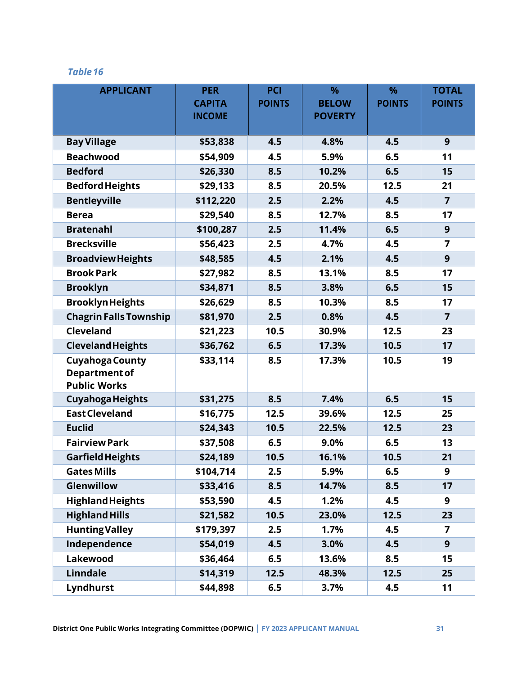| <b>APPLICANT</b>              | <b>PER</b>    | PCI           | $\frac{9}{6}$  | $\frac{9}{6}$ | <b>TOTAL</b>   |
|-------------------------------|---------------|---------------|----------------|---------------|----------------|
|                               | <b>CAPITA</b> | <b>POINTS</b> | <b>BELOW</b>   | <b>POINTS</b> | <b>POINTS</b>  |
|                               | <b>INCOME</b> |               | <b>POVERTY</b> |               |                |
| <b>Bay Village</b>            | \$53,838      | 4.5           | 4.8%           | 4.5           | 9              |
| <b>Beachwood</b>              | \$54,909      | 4.5           | 5.9%           | 6.5           | 11             |
| <b>Bedford</b>                | \$26,330      | 8.5           | 10.2%          | 6.5           | 15             |
| <b>Bedford Heights</b>        | \$29,133      | 8.5           | 20.5%          | 12.5          | 21             |
| <b>Bentleyville</b>           | \$112,220     | 2.5           | 2.2%           | 4.5           | $\overline{7}$ |
| <b>Berea</b>                  | \$29,540      | 8.5           | 12.7%          | 8.5           | 17             |
| <b>Bratenahl</b>              | \$100,287     | 2.5           | 11.4%          | 6.5           | 9              |
| <b>Brecksville</b>            | \$56,423      | 2.5           | 4.7%           | 4.5           | 7              |
| <b>Broadview Heights</b>      | \$48,585      | 4.5           | 2.1%           | 4.5           | 9              |
| <b>Brook Park</b>             | \$27,982      | 8.5           | 13.1%          | 8.5           | 17             |
| <b>Brooklyn</b>               | \$34,871      | 8.5           | 3.8%           | 6.5           | 15             |
| <b>Brooklyn Heights</b>       | \$26,629      | 8.5           | 10.3%          | 8.5           | 17             |
| <b>Chagrin Falls Township</b> | \$81,970      | 2.5           | 0.8%           | 4.5           | $\overline{7}$ |
| Cleveland                     | \$21,223      | 10.5          | 30.9%          | 12.5          | 23             |
| <b>Cleveland Heights</b>      | \$36,762      | 6.5           | 17.3%          | 10.5          | 17             |
| <b>Cuyahoga County</b>        | \$33,114      | 8.5           | 17.3%          | 10.5          | 19             |
| <b>Department of</b>          |               |               |                |               |                |
| <b>Public Works</b>           |               |               |                |               |                |
| <b>Cuyahoga Heights</b>       | \$31,275      | 8.5           | 7.4%           | 6.5           | 15             |
| <b>East Cleveland</b>         | \$16,775      | 12.5          | 39.6%          | 12.5          | 25             |
| <b>Euclid</b>                 | \$24,343      | 10.5          | 22.5%          | 12.5          | 23             |
| <b>Fairview Park</b>          | \$37,508      | 6.5           | 9.0%           | 6.5           | 13             |
| <b>Garfield Heights</b>       | \$24,189      | 10.5          | 16.1%          | 10.5          | 21             |
| <b>Gates Mills</b>            | \$104,714     | 2.5           | 5.9%           | 6.5           | 9              |
| Glenwillow                    | \$33,416      | 8.5           | 14.7%          | 8.5           | 17             |
| <b>Highland Heights</b>       | \$53,590      | 4.5           | 1.2%           | 4.5           | 9              |
| <b>Highland Hills</b>         | \$21,582      | 10.5          | 23.0%          | 12.5          | 23             |
| <b>Hunting Valley</b>         | \$179,397     | 2.5           | 1.7%           | 4.5           | 7              |
| Independence                  | \$54,019      | 4.5           | 3.0%           | 4.5           | 9              |
| Lakewood                      | \$36,464      | 6.5           | 13.6%          | 8.5           | 15             |
| <b>Linndale</b>               | \$14,319      | 12.5          | 48.3%          | 12.5          | 25             |
| Lyndhurst                     | \$44,898      | 6.5           | 3.7%           | 4.5           | 11             |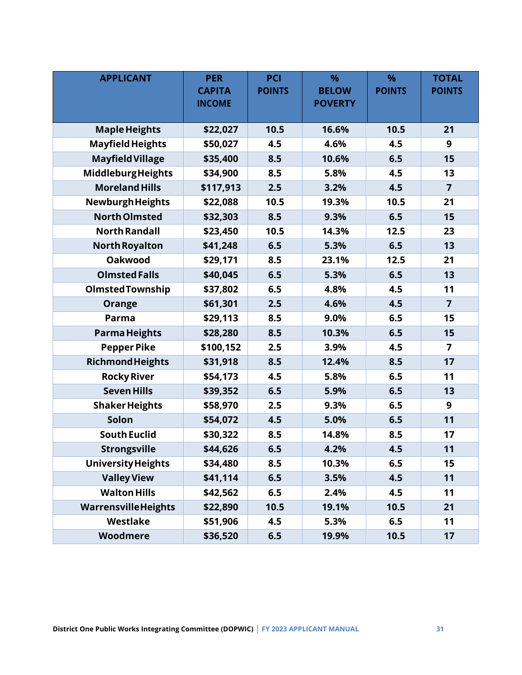| <b>APPLICANT</b>           | <b>PER</b>    | <b>PCI</b>    | $\frac{9}{6}$  | $\frac{9}{6}$ | <b>TOTAL</b>            |
|----------------------------|---------------|---------------|----------------|---------------|-------------------------|
|                            | <b>CAPITA</b> | <b>POINTS</b> | <b>BELOW</b>   | <b>POINTS</b> | <b>POINTS</b>           |
|                            | <b>INCOME</b> |               | <b>POVERTY</b> |               |                         |
|                            |               | 10.5          |                | 10.5          | 21                      |
| <b>Maple Heights</b>       | \$22,027      |               | 16.6%          |               |                         |
| <b>Mayfield Heights</b>    | \$50,027      | 4.5           | 4.6%           | 4.5           | 9                       |
| <b>Mayfield Village</b>    | \$35,400      | 8.5           | 10.6%          | 6.5           | 15                      |
| MiddleburgHeights          | \$34,900      | 8.5           | 5.8%           | 4.5           | 13                      |
| <b>Moreland Hills</b>      | \$117,913     | 2.5           | 3.2%           | 4.5           | $\overline{7}$          |
| Newburgh Heights           | \$22,088      | 10.5          | 19.3%          | 10.5          | 21                      |
| <b>North Olmsted</b>       | \$32,303      | 8.5           | 9.3%           | 6.5           | 15                      |
| <b>North Randall</b>       | \$23,450      | 10.5          | 14.3%          | 12.5          | 23                      |
| <b>North Royalton</b>      | \$41,248      | 6.5           | 5.3%           | 6.5           | 13                      |
| <b>Oakwood</b>             | \$29,171      | 8.5           | 23.1%          | 12.5          | 21                      |
| <b>Olmsted Falls</b>       | \$40,045      | 6.5           | 5.3%           | 6.5           | 13                      |
| <b>Olmsted Township</b>    | \$37,802      | 6.5           | 4.8%           | 4.5           | 11                      |
| Orange                     | \$61,301      | 2.5           | 4.6%           | 4.5           | $\overline{7}$          |
| Parma                      | \$29,113      | 8.5           | 9.0%           | 6.5           | 15                      |
| <b>Parma Heights</b>       | \$28,280      | 8.5           | 10.3%          | 6.5           | 15                      |
| <b>Pepper Pike</b>         | \$100,152     | 2.5           | 3.9%           | 4.5           | $\overline{\mathbf{z}}$ |
| <b>Richmond Heights</b>    | \$31,918      | 8.5           | 12.4%          | 8.5           | 17                      |
| <b>Rocky River</b>         | \$54,173      | 4.5           | 5.8%           | 6.5           | 11                      |
| <b>Seven Hills</b>         | \$39,352      | 6.5           | 5.9%           | 6.5           | 13                      |
| <b>Shaker Heights</b>      | \$58,970      | 2.5           | 9.3%           | 6.5           | 9                       |
| Solon                      | \$54,072      | 4.5           | 5.0%           | 6.5           | 11                      |
| <b>South Euclid</b>        | \$30,322      | 8.5           | 14.8%          | 8.5           | 17                      |
| <b>Strongsville</b>        | \$44,626      | 6.5           | 4.2%           | 4.5           | 11                      |
| <b>University Heights</b>  | \$34,480      | 8.5           | 10.3%          | 6.5           | 15                      |
| <b>Valley View</b>         | \$41,114      | 6.5           | 3.5%           | 4.5           | 11                      |
| <b>Walton Hills</b>        | \$42,562      | 6.5           | 2.4%           | 4.5           | 11                      |
| <b>WarrensvilleHeights</b> | \$22,890      | 10.5          | 19.1%          | 10.5          | 21                      |
| Westlake                   | \$51,906      | 4.5           | 5.3%           | 6.5           | 11                      |
| <b>Woodmere</b>            | \$36,520      | 6.5           | 19.9%          | 10.5          | 17                      |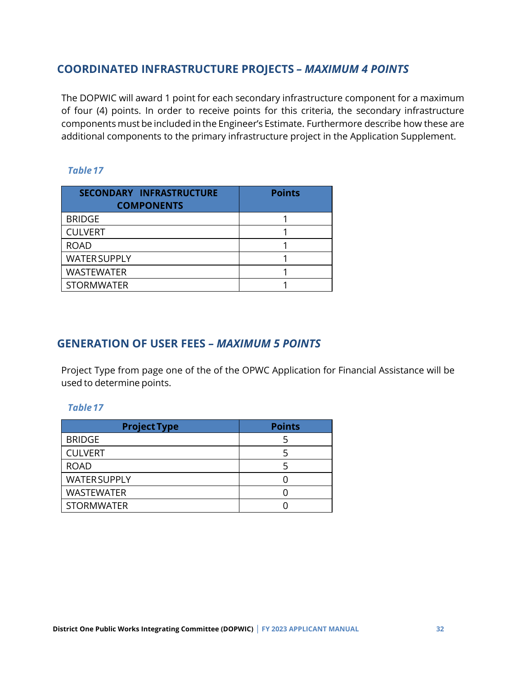## <span id="page-35-0"></span>**COORDINATED INFRASTRUCTURE PROJECTS** *– MAXIMUM 4 POINTS*

The DOPWIC will award 1 point for each secondary infrastructure component for a maximum of four (4) points. In order to receive points for this criteria, the secondary infrastructure components must be included in the Engineer's Estimate. Furthermore describe how these are additional components to the primary infrastructure project in the Application Supplement.

#### *Table17*

| SECONDARY INFRASTRUCTURE<br><b>COMPONENTS</b> | <b>Points</b> |
|-----------------------------------------------|---------------|
| <b>BRIDGE</b>                                 |               |
| <b>CULVERT</b>                                |               |
| <b>ROAD</b>                                   |               |
| <b>WATER SUPPLY</b>                           |               |
| <b>WASTEWATER</b>                             |               |
| <b>STORMWATER</b>                             |               |

## <span id="page-35-1"></span>**GENERATION OF USER FEES** *– MAXIMUM 5 POINTS*

Project Type from page one of the of the OPWC Application for Financial Assistance will be used to determine points.

| <b>Project Type</b> | <b>Points</b> |
|---------------------|---------------|
| <b>BRIDGE</b>       |               |
| <b>CULVERT</b>      |               |
| <b>ROAD</b>         |               |
| <b>WATER SUPPLY</b> |               |
| <b>WASTEWATER</b>   |               |
| <b>STORMWATER</b>   |               |